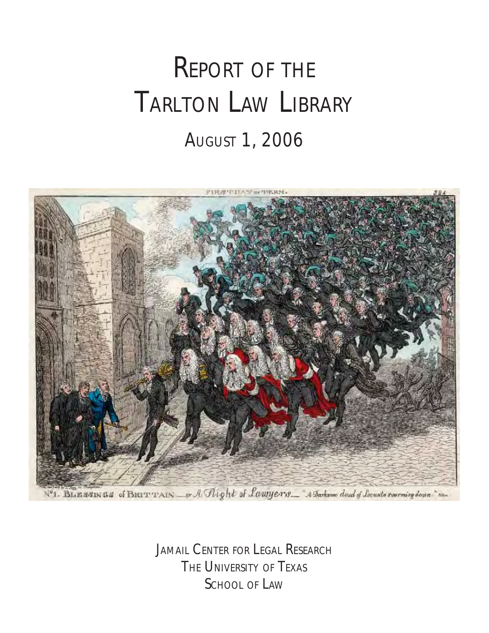# REPORT OF THE TARLTON LAW LIBRARY AUGUST 1, 2006



Nº1. BLENSINGS of BRITTIAIN or A Flight of Lawrers \_ "A Darksome doud of Locusto severning down."

JAMAIL CENTER FOR LEGAL RESEARCH THE UNIVERSITY OF TEXAS SCHOOL OF LAW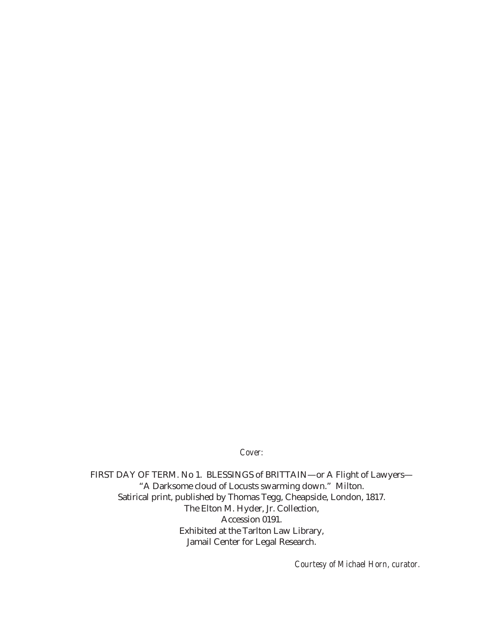*Cover:*

FIRST DAY OF TERM. No 1. BLESSINGS of BRITTAIN—or A Flight of Lawyers— "A Darksome cloud of Locusts swarming down." Milton. Satirical print, published by Thomas Tegg, Cheapside, London, 1817. The Elton M. Hyder, Jr. Collection, Accession 0191. Exhibited at the Tarlton Law Library, Jamail Center for Legal Research.

*Courtesy of Michael Horn, curator.*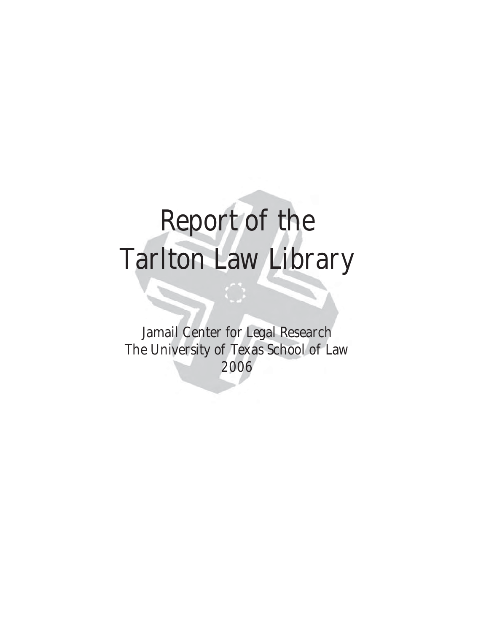# Report of the Tarlton Law Library

Jamail Center for Legal Research The University of Texas School of Law 2006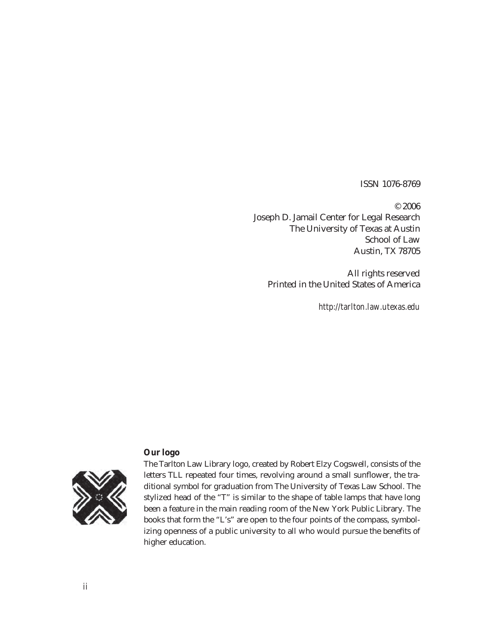ISSN 1076-8769

© 2006 Joseph D. Jamail Center for Legal Research The University of Texas at Austin School of Law Austin, TX 78705

All rights reserved Printed in the United States of America

*http://tarlton.law.utexas.edu*

#### **Our logo**



The Tarlton Law Library logo, created by Robert Elzy Cogswell, consists of the letters TLL repeated four times, revolving around a small sunflower, the traditional symbol for graduation from The University of Texas Law School. The stylized head of the "T" is similar to the shape of table lamps that have long been a feature in the main reading room of the New York Public Library. The books that form the "L's" are open to the four points of the compass, symbolizing openness of a public university to all who would pursue the benefits of higher education.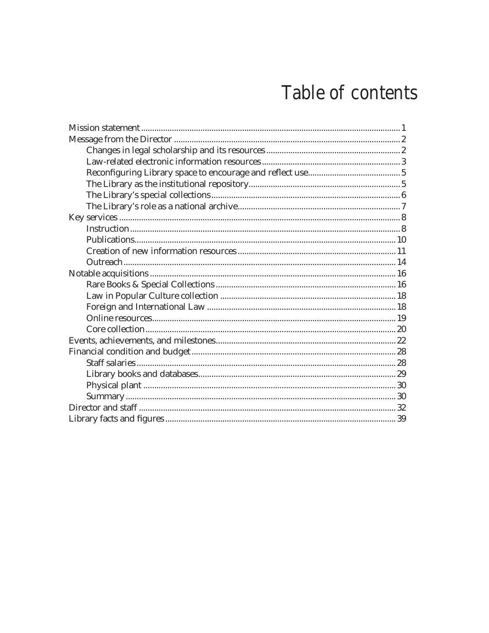# Table of contents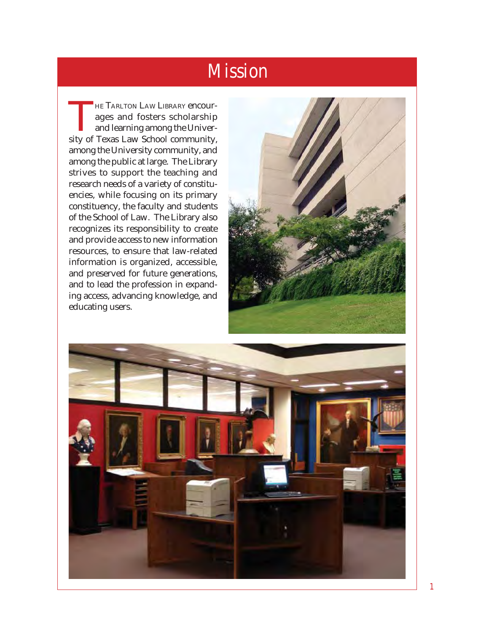## Mission

<span id="page-5-0"></span>THE TARLTON LAW LIBRARY encourages and fosters scholarship<br>and learning among the Univerages and fosters scholarship and learning among the University of Texas Law School community, among the University community, and among the public at large. The Library strives to support the teaching and research needs of a variety of constituencies, while focusing on its primary constituency, the faculty and students of the School of Law. The Library also recognizes its responsibility to create and provide access to new information resources, to ensure that law-related information is organized, accessible, and preserved for future generations, and to lead the profession in expanding access, advancing knowledge, and educating users.



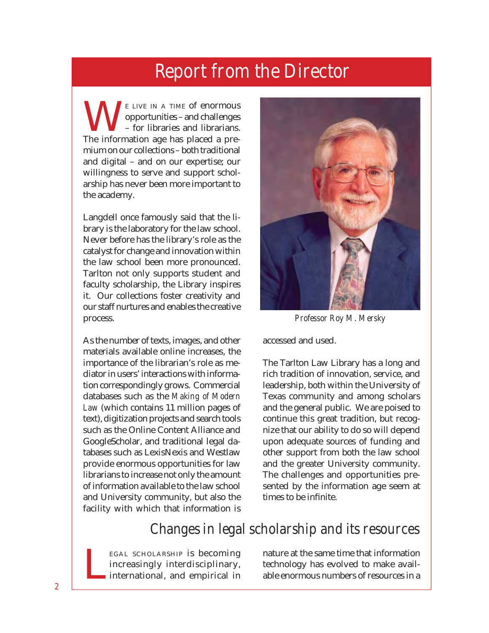<span id="page-6-0"></span> $\sum_{\text{p}}^{\text{E LIVE IN A TIME of enormous}}$  opportunities – and challenges<br>The information age has placed a preopportunities – and challenges – for libraries and librarians. The information age has placed a premium on our collections – both traditional and digital – and on our expertise; our willingness to serve and support scholarship has never been more important to the academy.

Langdell once famously said that the library is the laboratory for the law school. Never before has the library's role as the catalyst for change and innovation within the law school been more pronounced. Tarlton not only supports student and faculty scholarship, the Library inspires it. Our collections foster creativity and our staff nurtures and enables the creative process.

As the number of texts, images, and other materials available online increases, the importance of the librarian's role as mediator in users' interactions with information correspondingly grows. Commercial databases such as the *Making of Modern Law* (which contains 11 million pages of text), digitization projects and search tools such as the Online Content Alliance and GoogleScholar, and traditional legal databases such as LexisNexis and Westlaw provide enormous opportunities for law librarians to increase not only the amount of information available to the law school and University community, but also the facility with which that information is



*Professor Roy M. Mersky*

accessed and used.

The Tarlton Law Library has a long and rich tradition of innovation, service, and leadership, both within the University of Texas community and among scholars and the general public. We are poised to continue this great tradition, but recognize that our ability to do so will depend upon adequate sources of funding and other support from both the law school and the greater University community. The challenges and opportunities presented by the information age seem at times to be infinite.

#### Changes in legal scholarship and its resources

EGAL SCHOLARSHIP is becoming increasingly interdisciplinary, international, and empirical in nature at the same time that information technology has evolved to make avail-<br>able enormous numbers of resources in a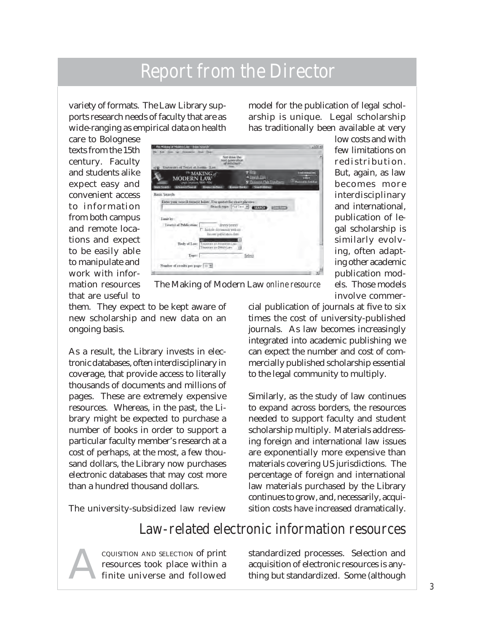variety of formats. The Law Library supports research needs of faculty that are as wide-ranging as empirical data on health model for the publication of legal scholarship is unique. Legal scholarship has traditionally been available at very

> low costs and with few limitations on redistribution. But, again, as law becomes more interdisciplinary and international, publication of legal scholarship is similarly evolving, often adapting other academic publication models. Those models involve commer-

care to Bolognese texts from the 15th century. Faculty and students alike expect easy and convenient access to information from both campus and remote locations and expect to be easily able to manipulate and work with information resources that are useful to

| The Making of Modern Can Basic Search                                                                    | $\sqrt{ \Box }$                                                                           |
|----------------------------------------------------------------------------------------------------------|-------------------------------------------------------------------------------------------|
| Van 60 Roskearle Inde Help-<br>Erik                                                                      |                                                                                           |
| Test drive the<br>rest generation<br>at infollment                                                       |                                                                                           |
| University of Texas at Austin - Law                                                                      | P Hab                                                                                     |
| <sup>16</sup> MAKING of<br><b>MODERN 1</b><br>Legal Insures 1800-1806                                    | THOMASON<br>a Search Time<br><b>CALE</b><br>S' Thomson Gale Lundbares<br>small is lutcher |
| <b>Allranof Search</b><br><b>Hopse Britters</b><br><b>Sixter</b>                                         | <b>Branssa Warks</b><br>Scenth mistury                                                    |
| <b>Basic Search</b>                                                                                      |                                                                                           |
| Enter your search term(s) below. Use quotel for exact phrases:<br>Search type: Fulling #<br>Limit by:    | SEARCH <sub>1</sub><br><b>Courtesy</b>                                                    |
| Yearis) of Publication:<br>(VVVV-YYYY)<br><b>E.</b> Include documents with no<br>linous publication date |                                                                                           |
| т<br>Biole of Law:<br>Treatists on American Law<br>Treetries on Drinch Low                               |                                                                                           |
| Tapet:                                                                                                   | Select                                                                                    |
| Number of recolls per page-110 m                                                                         |                                                                                           |
|                                                                                                          |                                                                                           |

The Making of Modern Law *online resource*

them. They expect to be kept aware of new scholarship and new data on an ongoing basis.

As a result, the Library invests in electronic databases, often interdisciplinary in coverage, that provide access to literally thousands of documents and millions of pages. These are extremely expensive resources. Whereas, in the past, the Library might be expected to purchase a number of books in order to support a particular faculty member's research at a cost of perhaps, at the most, a few thousand dollars, the Library now purchases electronic databases that may cost more than a hundred thousand dollars.

The university-subsidized law review

cial publication of journals at five to six times the cost of university-published journals. As law becomes increasingly integrated into academic publishing we can expect the number and cost of commercially published scholarship essential to the legal community to multiply.

Similarly, as the study of law continues to expand across borders, the resources needed to support faculty and student scholarship multiply. Materials addressing foreign and international law issues are exponentially more expensive than materials covering US jurisdictions. The percentage of foreign and international law materials purchased by the Library continues to grow, and, necessarily, acquisition costs have increased dramatically.

#### Law-related electronic information resources

ACQUISITION AND SELECTION of print resources took place within a finite universe and followed standardized processes. Selection and acquisition of electronic resources is anything but standardized. Some (although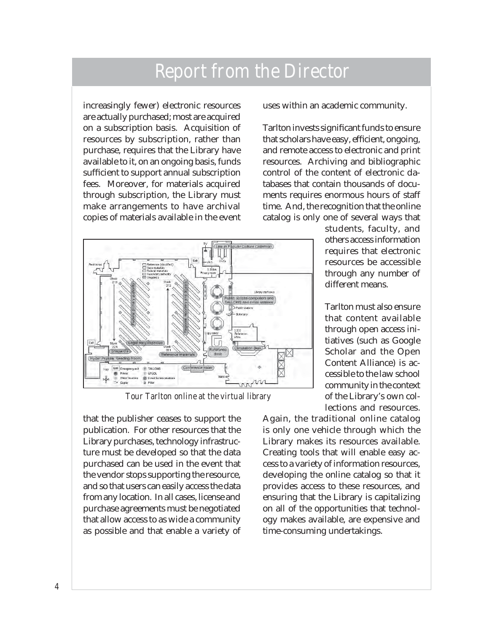increasingly fewer) electronic resources are actually purchased; most are acquired on a subscription basis. Acquisition of resources by subscription, rather than purchase, requires that the Library have available to it, on an ongoing basis, funds sufficient to support annual subscription fees. Moreover, for materials acquired through subscription, the Library must make arrangements to have archival copies of materials available in the event

uses within an academic community.

Tarlton invests significant funds to ensure that scholars have easy, efficient, ongoing, and remote access to electronic and print resources. Archiving and bibliographic control of the content of electronic databases that contain thousands of documents requires enormous hours of staff time. And, the recognition that the online catalog is only one of several ways that



*Tour Tarlton online at the virtual library*

that the publisher ceases to support the publication. For other resources that the Library purchases, technology infrastructure must be developed so that the data purchased can be used in the event that the vendor stops supporting the resource, and so that users can easily access the data from any location. In all cases, license and purchase agreements must be negotiated that allow access to as wide a community as possible and that enable a variety of students, faculty, and others access information requires that electronic resources be accessible through any number of different means.

Tarlton must also ensure that content available through open access initiatives (such as Google Scholar and the Open Content Alliance) is accessible to the law school community in the context of the Library's own collections and resources.

Again, the traditional online catalog is only one vehicle through which the Library makes its resources available. Creating tools that will enable easy access to a variety of information resources, developing the online catalog so that it provides access to these resources, and ensuring that the Library is capitalizing on all of the opportunities that technology makes available, are expensive and time-consuming undertakings.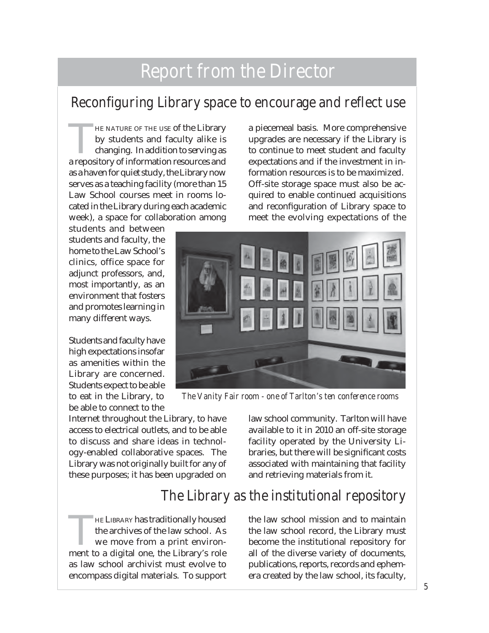#### Reconfiguring Library space to encourage and reflect use

HE NATURE OF THE USE of the Library by students and faculty alike is changing. In addition to serving as a repository of information resources and as a haven for quiet study, the Library now serves as a teaching facility (more than 15 Law School courses meet in rooms located in the Library during each academic week), a space for collaboration among

students and between students and faculty, the home to the Law School's clinics, office space for adjunct professors, and, most importantly, as an environment that fosters and promotes learning in many different ways.

Students and faculty have high expectations insofar as amenities within the Library are concerned. Students expect to be able to eat in the Library, to be able to connect to the

Internet throughout the Library, to have access to electrical outlets, and to be able to discuss and share ideas in technology-enabled collaborative spaces. The Library was not originally built for any of these purposes; it has been upgraded on

THE LIBRARY has traditionally housed the archives of the law school. As we move from a print environment to a digital one, the Library's role as law school archivist must evolve to encompass digital materials. To support

a piecemeal basis. More comprehensive upgrades are necessary if the Library is to continue to meet student and faculty expectations and if the investment in information resources is to be maximized. Off-site storage space must also be acquired to enable continued acquisitions and reconfiguration of Library space to meet the evolving expectations of the



*The Vanity Fair room - one of Tarlton's ten conference rooms*

law school community. Tarlton will have available to it in 2010 an off-site storage facility operated by the University Libraries, but there will be significant costs associated with maintaining that facility and retrieving materials from it.

#### The Library as the institutional repository

the law school mission and to maintain the law school record, the Library must become the institutional repository for all of the diverse variety of documents, publications, reports, records and ephemera created by the law school, its faculty,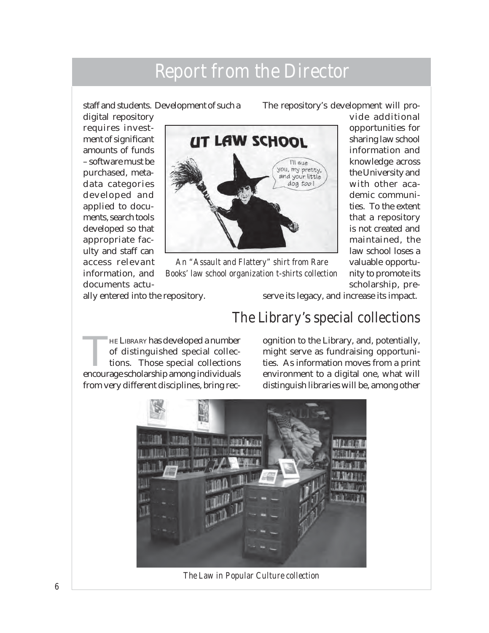staff and students. Development of such a

The repository's development will pro-

digital repository requires investment of significant amounts of funds – software must be purchased, metadata categories developed and applied to documents, search tools developed so that appropriate faculty and staff can access relevant information, and documents actu-



*An "Assault and Flattery" shirt from Rare Books' law school organization t-shirts collection*

vide additional opportunities for sharing law school information and knowledge across the University and with other academic communities. To the extent that a repository is not created and maintained, the law school loses a valuable opportunity to promote its scholarship, pre-

ally entered into the repository.

serve its legacy, and increase its impact.

#### The Library's special collections

HE LIBRARY has developed a number<br>of distinguished special collec-<br>tions. Those special collections<br>encourage scholarship among individuals of distinguished special collections. Those special collections encourage scholarship among individuals from very different disciplines, bring rec-

ognition to the Library, and, potentially, might serve as fundraising opportunities. As information moves from a print environment to a digital one, what will distinguish libraries will be, among other



*The Law in Popular Culture collection*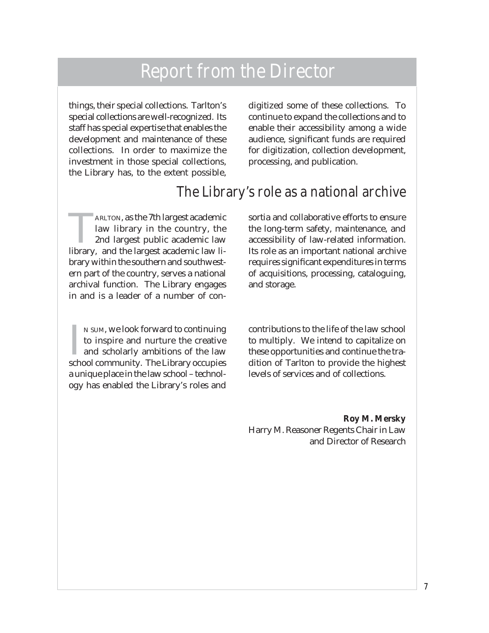things, their special collections. Tarlton's special collections are well-recognized. Its staff has special expertise that enables the development and maintenance of these collections. In order to maximize the investment in those special collections, the Library has, to the extent possible,

digitized some of these collections. To continue to expand the collections and to enable their accessibility among a wide audience, significant funds are required for digitization, collection development, processing, and publication.

#### The Library's role as a national archive

ARLTON, as the 7th largest academic law library in the country, the 2nd largest public academic law library, and the largest academic law library within the southern and southwestern part of the country, serves a national archival function. The Library engages in and is a leader of a number of con-

IN SUM, we look forward to continuing<br>to inspire and nurture the creative<br>and scholarly ambitions of the law<br>school community. The Library occupies N SUM, we look forward to continuing to inspire and nurture the creative and scholarly ambitions of the law a unique place in the law school – technology has enabled the Library's roles and

sortia and collaborative efforts to ensure the long-term safety, maintenance, and accessibility of law-related information. Its role as an important national archive requires significant expenditures in terms of acquisitions, processing, cataloguing, and storage.

contributions to the life of the law school to multiply. We intend to capitalize on these opportunities and continue the tradition of Tarlton to provide the highest levels of services and of collections.

**Roy M. Mersky** Harry M. Reasoner Regents Chair in Law and Director of Research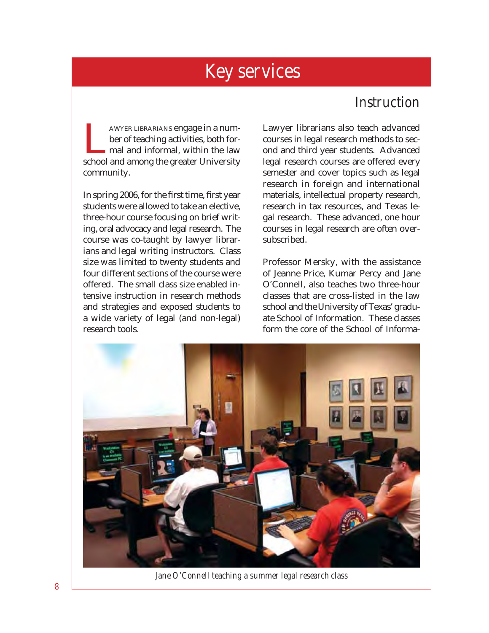#### **Instruction**

<span id="page-12-0"></span>AWYER LIBRARIANS engage in a num-<br>ber of teaching activities, both for-<br>mal and informal, within the law<br>school and among the greater University ber of teaching activities, both formal and informal, within the law school and among the greater University community.

In spring 2006, for the first time, first year students were allowed to take an elective, three-hour course focusing on brief writing, oral advocacy and legal research. The course was co-taught by lawyer librarians and legal writing instructors. Class size was limited to twenty students and four different sections of the course were offered. The small class size enabled intensive instruction in research methods and strategies and exposed students to a wide variety of legal (and non-legal) research tools.

Lawyer librarians also teach advanced courses in legal research methods to second and third year students. Advanced legal research courses are offered every semester and cover topics such as legal research in foreign and international materials, intellectual property research, research in tax resources, and Texas legal research. These advanced, one hour courses in legal research are often oversubscribed.

Professor Mersky, with the assistance of Jeanne Price, Kumar Percy and Jane O'Connell, also teaches two three-hour classes that are cross-listed in the law school and the University of Texas' graduate School of Information. These classes form the core of the School of Informa-



*Jane O'Connell teaching a summer legal research class*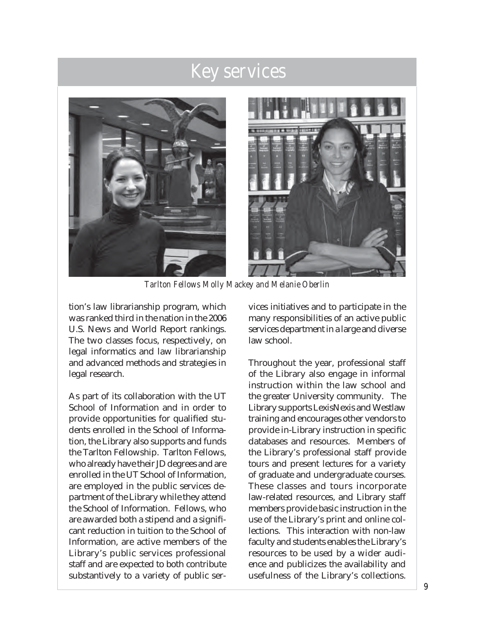

*Tarlton Fellows Molly Mackey and Melanie Oberlin*

tion's law librarianship program, which was ranked third in the nation in the 2006 U.S. News and World Report rankings. The two classes focus, respectively, on legal informatics and law librarianship and advanced methods and strategies in legal research.

As part of its collaboration with the UT School of Information and in order to provide opportunities for qualified students enrolled in the School of Information, the Library also supports and funds the Tarlton Fellowship. Tarlton Fellows, who already have their JD degrees and are enrolled in the UT School of Information, are employed in the public services department of the Library while they attend the School of Information. Fellows, who are awarded both a stipend and a significant reduction in tuition to the School of Information, are active members of the Library's public services professional staff and are expected to both contribute substantively to a variety of public services initiatives and to participate in the many responsibilities of an active public services department in a large and diverse law school.

Throughout the year, professional staff of the Library also engage in informal instruction within the law school and the greater University community. The Library supports LexisNexis and Westlaw training and encourages other vendors to provide in-Library instruction in specific databases and resources. Members of the Library's professional staff provide tours and present lectures for a variety of graduate and undergraduate courses. These classes and tours incorporate law-related resources, and Library staff members provide basic instruction in the use of the Library's print and online collections. This interaction with non-law faculty and students enables the Library's resources to be used by a wider audience and publicizes the availability and usefulness of the Library's collections.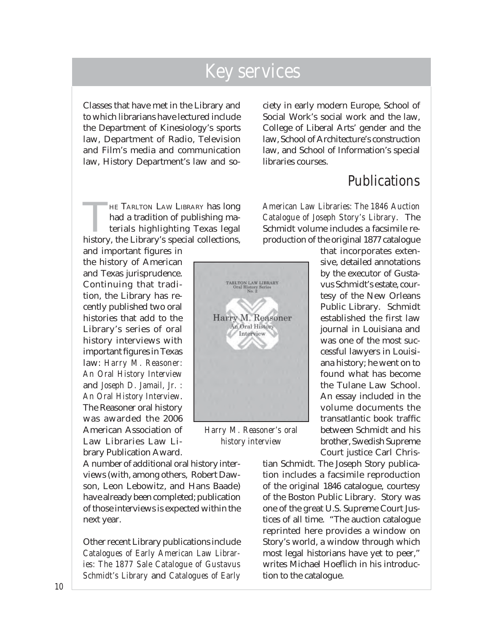Classes that have met in the Library and to which librarians have lectured include the Department of Kinesiology's sports law, Department of Radio, Television and Film's media and communication law, History Department's law and so-

THE TARLTON LAW LIBRARY has long had a tradition of publishing materials highlighting Texas legal history, the Library's special collections,

and important figures in the history of American and Texas jurisprudence. Continuing that tradition, the Library has recently published two oral histories that add to the Library's series of oral history interviews with important figures in Texas law: *Harry M. Reasoner: An Oral History Interview* and *Joseph D. Jamail, Jr. : An Oral History Interview*. The Reasoner oral history was awarded the 2006 American Association of Law Libraries Law Library Publication Award.

A number of additional oral history interviews (with, among others, Robert Dawson, Leon Lebowitz, and Hans Baade) have already been completed; publication of those interviews is expected within the next year.

Other recent Library publications include *Catalogues of Early American Law Libraries: The 1877 Sale Catalogue of Gustavus Schmidt's Library* and *Catalogues of Early*  ciety in early modern Europe, School of Social Work's social work and the law, College of Liberal Arts' gender and the law, School of Architecture's construction law, and School of Information's special libraries courses.

#### Publications

*American Law Libraries: The 1846 Auction Catalogue of Joseph Story's Library*. The Schmidt volume includes a facsimile reproduction of the original 1877 catalogue

> that incorporates extensive, detailed annotations by the executor of Gustavus Schmidt's estate, courtesy of the New Orleans Public Library. Schmidt established the first law journal in Louisiana and was one of the most successful lawyers in Louisiana history; he went on to found what has become the Tulane Law School. An essay included in the volume documents the transatlantic book traffic between Schmidt and his brother, Swedish Supreme Court justice Carl Chris-

tian Schmidt. The Joseph Story publication includes a facsimile reproduction of the original 1846 catalogue, courtesy of the Boston Public Library. Story was one of the great U.S. Supreme Court Justices of all time. "The auction catalogue reprinted here provides a window on Story's world, a window through which most legal historians have yet to peer," writes Michael Hoeflich in his introduction to the catalogue.



*Harry M. Reasoner's oral history interview*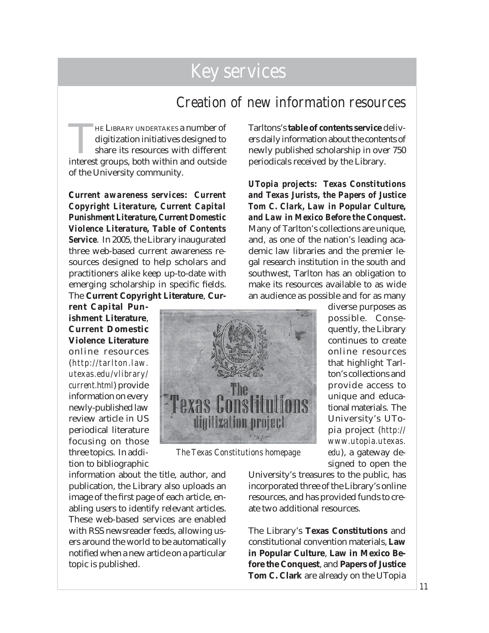#### Creation of new information resources

HE LIBRARY UNDERTAKES a number of digitization initiatives designed to share its resources with different interest groups, both within and outside of the University community.

*Current awareness services: Current Copyright Literature, Current Capital Punishment Literature, Current Domestic Violence Literature, Table of Contents Service*. In 2005, the Library inaugurated three web-based current awareness resources designed to help scholars and practitioners alike keep up-to-date with emerging scholarship in specific fields. The **Current Copyright Literature**, **Cur-**

**rent Capital Punishment Literature**, **Current Domestic Violence Literature** online resources (*http://tarlton.law. utexas.edu/vlibrary/ current.html*) provide information on every newly-published law review article in US periodical literature focusing on those three topics. In addition to bibliographic

information about the title, author, and publication, the Library also uploads an image of the first page of each article, enabling users to identify relevant articles. These web-based services are enabled with RSS newsreader feeds, allowing users around the world to be automatically notified when a new article on a particular topic is published.

Tarltons's **table of contents service** delivers daily information about the contents of newly published scholarship in over 750 periodicals received by the Library.

*UTopia projects: Texas Constitutions and Texas Jurists, the Papers of Justice Tom C. Clark, Law in Popular Culture, and Law in Mexico Before the Conquest.*  Many of Tarlton's collections are unique, and, as one of the nation's leading academic law libraries and the premier legal research institution in the south and southwest, Tarlton has an obligation to make its resources available to as wide an audience as possible and for as many



*The Texas Constitutions homepage*

diverse purposes as possible. Consequently, the Library continues to create online resources that highlight Tarlton's collections and provide access to unique and educational materials. The University's UTopia project (*http:// www.utopia.utexas. edu*), a gateway designed to open the

University's treasures to the public, has incorporated three of the Library's online resources, and has provided funds to create two additional resources.

The Library's **Texas Constitutions** and constitutional convention materials, **Law in Popular Culture**, **Law in Mexico Before the Conquest**, and **Papers of Justice Tom C. Clark** are already on the UTopia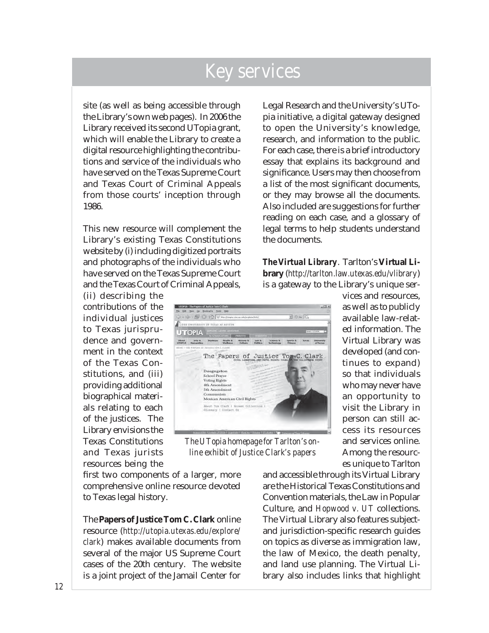site (as well as being accessible through the Library's own web pages). In 2006 the Library received its second UTopia grant, which will enable the Library to create a digital resource highlighting the contributions and service of the individuals who have served on the Texas Supreme Court and Texas Court of Criminal Appeals from those courts' inception through 1986.

This new resource will complement the Library's existing Texas Constitutions website by (i) including digitized portraits and photographs of the individuals who have served on the Texas Supreme Court and the Texas Court of Criminal Appeals,

(ii) describing the contributions of the individual justices to Texas jurisprudence and government in the context of the Texas Constitutions, and (iii) providing additional biographical materials relating to each of the justices. The Library envisions the Texas Constitutions and Texas jurists resources being the

first two components of a larger, more comprehensive online resource devoted to Texas legal history.

The **Papers of Justice Tom C. Clark** online resource (*http://utopia.utexas.edu/explore/ clark*) makes available documents from several of the major US Supreme Court cases of the 20th century. The website is a joint project of the Jamail Center for

Legal Research and the University's UTopia initiative, a digital gateway designed to open the University's knowledge, research, and information to the public. For each case, there is a brief introductory essay that explains its background and significance. Users may then choose from a list of the most significant documents, or they may browse all the documents. Also included are suggestions for further reading on each case, and a glossary of legal terms to help students understand the documents.

*The Virtual Library*. Tarlton's **Virtual Library** (*http://tarlton.law.utexas.edu/vlibrary*) is a gateway to the Library's unique ser-



*The UTopia homepage for Tarlton's online exhibit of Justice Clark's papers*

vices and resources, as well as to publicly available law-related information. The Virtual Library was developed (and continues to expand) so that individuals who may never have an opportunity to visit the Library in person can still access its resources and services online. Among the resources unique to Tarlton

and accessible through its Virtual Library are the Historical Texas Constitutions and Convention materials, the Law in Popular Culture, and *Hopwood v. UT* collections. The Virtual Library also features subjectand jurisdiction-specific research guides on topics as diverse as immigration law, the law of Mexico, the death penalty, and land use planning. The Virtual Library also includes links that highlight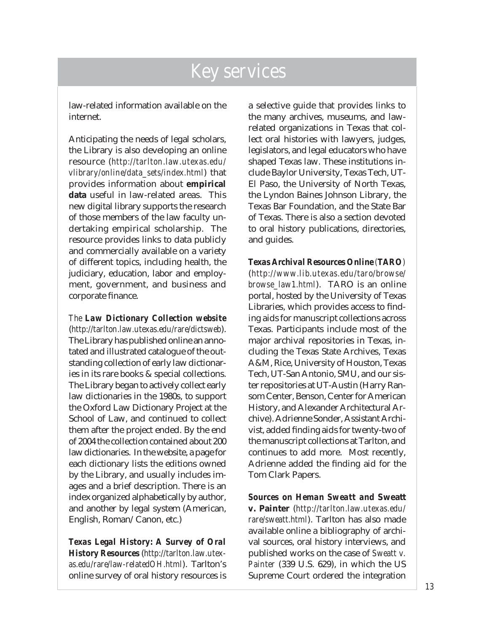law-related information available on the internet.

Anticipating the needs of legal scholars, the Library is also developing an online resource (*http://tarlton.law.utexas.edu/ vlibrary/online/data\_sets/index.html*) that provides information about **empirical data** useful in law-related areas. This new digital library supports the research of those members of the law faculty undertaking empirical scholarship. The resource provides links to data publicly and commercially available on a variety of different topics, including health, the judiciary, education, labor and employment, government, and business and corporate finance.

*The Law Dictionary Collection website* (*http://tarlton.law.utexas.edu/rare/dictsweb*). The Library has published online an annotated and illustrated catalogue of the outstanding collection of early law dictionaries in its rare books & special collections. The Library began to actively collect early law dictionaries in the 1980s, to support the Oxford Law Dictionary Project at the School of Law, and continued to collect them after the project ended. By the end of 2004 the collection contained about 200 law dictionaries. In the website, a page for each dictionary lists the editions owned by the Library, and usually includes images and a brief description. There is an index organized alphabetically by author, and another by legal system (American, English, Roman/Canon, etc.)

*Texas Legal History: A Survey of Oral History Resources* (*http://tarlton.law.utexas.edu/rare/law-relatedOH.html*). Tarlton's online survey of oral history resources is a selective guide that provides links to the many archives, museums, and lawrelated organizations in Texas that collect oral histories with lawyers, judges, legislators, and legal educators who have shaped Texas law. These institutions include Baylor University, Texas Tech, UT-El Paso, the University of North Texas, the Lyndon Baines Johnson Library, the Texas Bar Foundation, and the State Bar of Texas. There is also a section devoted to oral history publications, directories, and guides.

*Texas Archival Resources Online (TARO)* (*http://www.lib.utexas.edu/taro/browse/ browse\_law1.html*). TARO is an online portal, hosted by the University of Texas Libraries, which provides access to finding aids for manuscript collections across Texas. Participants include most of the major archival repositories in Texas, including the Texas State Archives, Texas A&M, Rice, University of Houston, Texas Tech, UT-San Antonio, SMU, and our sister repositories at UT-Austin (Harry Ransom Center, Benson, Center for American History, and Alexander Architectural Archive). Adrienne Sonder, Assistant Archivist, added finding aids for twenty-two of the manuscript collections at Tarlton, and continues to add more. Most recently, Adrienne added the finding aid for the Tom Clark Papers.

*Sources on Heman Sweatt and* **Sweatt v. Painter** (*http://tarlton.law.utexas.edu/ rare/sweatt.html*). Tarlton has also made available online a bibliography of archival sources, oral history interviews, and published works on the case of *Sweatt v. Painter* (339 U.S. 629), in which the US Supreme Court ordered the integration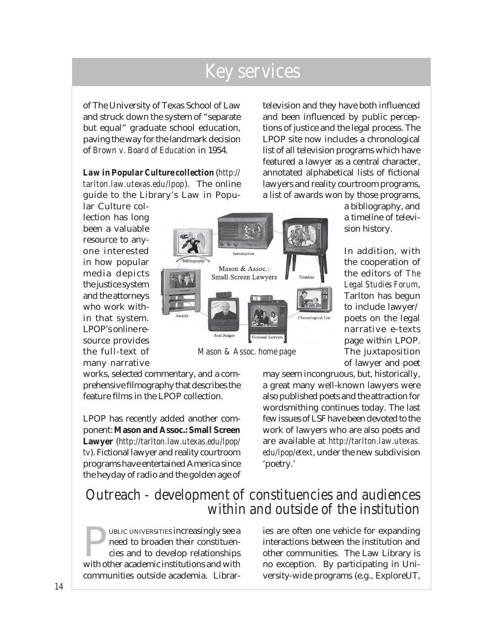of The University of Texas School of Law and struck down the system of "separate but equal" graduate school education, paving the way for the landmark decision of *Brown v. Board of Education* in 1954.

*Law in Popular Culture collection* (*http:// tarlton.law.utexas.edu/lpop*). The online guide to the Library's Law in Popular Culture col-

lection has long been a valuable resource to anyone interested in how popular media depicts the justice system and the attorneys who work within that system. LPOP's online resource provides the full-text of many narrative

works, selected commentary, and a comprehensive filmography that describes the feature films in the LPOP collection.

LPOP has recently added another component: **Mason and Assoc.: Small Screen Lawyer** (*http://tarlton.law.utexas.edu/lpop/ tv*). Fictional lawyer and reality courtroom programs have entertained America since the heyday of radio and the golden age of

television and they have both influenced and been influenced by public perceptions of justice and the legal process. The LPOP site now includes a chronological list of all television programs which have featured a lawyer as a central character, annotated alphabetical lists of fictional lawyers and reality courtroom programs, a list of awards won by those programs,

> a bibliography, and a timeline of television history.

In addition, with the cooperation of the editors of *The Legal Studies Forum*, Tarlton has begun to include lawyer/ poets on the legal narrative e-texts page within LPOP. The juxtaposition of lawyer and poet

may seem incongruous, but, historically, a great many well-known lawyers were also published poets and the attraction for wordsmithing continues today. The last few issues of LSF have been devoted to the work of lawyers who are also poets and are available at *http://tarlton.law.utexas. edu/lpop/etext*, under the new subdivision 'poetry.'

#### Outreach - development of constituencies and audiences within and outside of the institution

FORD UBLIC UNIVERSITIES increasingly see a<br>need to broaden their constituencies and to develop relationships<br>with other academic institutions and with need to broaden their constituencies and to develop relationships with other academic institutions and with communities outside academia. Librar-

ies are often one vehicle for expanding interactions between the institution and other communities. The Law Library is no exception. By participating in University-wide programs (e.g., ExploreUT,



*Mason & Assoc. home page*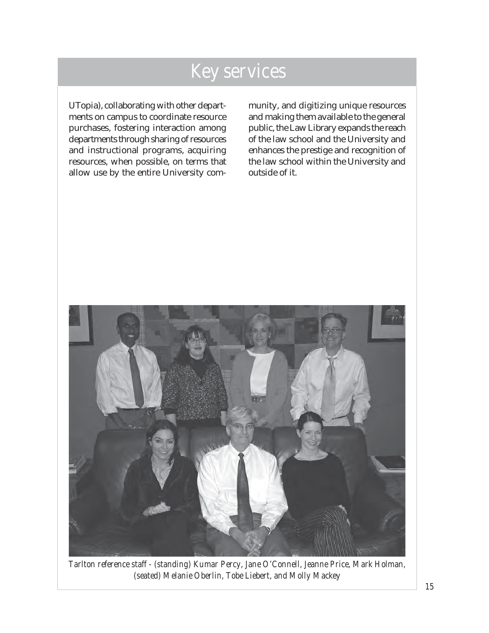UTopia), collaborating with other departments on campus to coordinate resource purchases, fostering interaction among departments through sharing of resources and instructional programs, acquiring resources, when possible, on terms that allow use by the entire University community, and digitizing unique resources and making them available to the general public, the Law Library expands the reach of the law school and the University and enhances the prestige and recognition of the law school within the University and outside of it.



*Tarlton reference staff - (standing) Kumar Percy, Jane O'Connell, Jeanne Price, Mark Holman, (seated) Melanie Oberlin, Tobe Liebert, and Molly Mackey*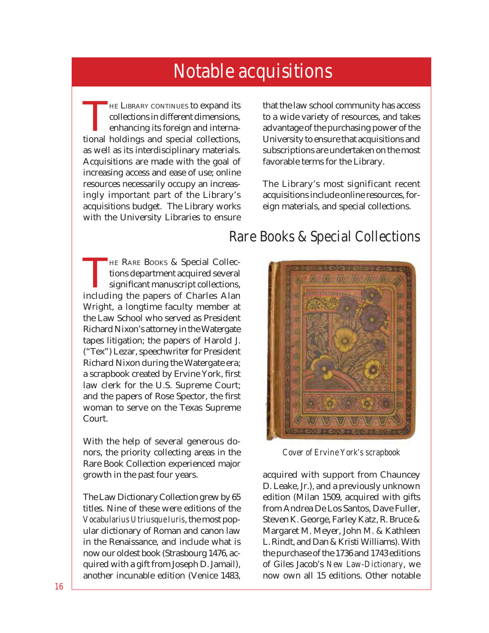<span id="page-20-0"></span>THE LIBRARY CONTINUES to expand its collections in different dimensions, enhancing its foreign and international holdings and special collections, as well as its interdisciplinary materials. Acquisitions are made with the goal of increasing access and ease of use; online resources necessarily occupy an increasingly important part of the Library's acquisitions budget. The Library works with the University Libraries to ensure

**HE RARE BOOKS & Special Collec**tions department acquired several significant manuscript collections, including the papers of Charles Alan Wright, a longtime faculty member at the Law School who served as President Richard Nixon's attorney in the Watergate tapes litigation; the papers of Harold J. ("Tex") Lezar, speechwriter for President Richard Nixon during the Watergate era; a scrapbook created by Ervine York, first law clerk for the U.S. Supreme Court; and the papers of Rose Spector, the first woman to serve on the Texas Supreme Court.

With the help of several generous donors, the priority collecting areas in the Rare Book Collection experienced major growth in the past four years.

The Law Dictionary Collection grew by 65 titles. Nine of these were editions of the *Vocabularius Utriusque Iuris*, the most popular dictionary of Roman and canon law in the Renaissance, and include what is now our oldest book (Strasbourg 1476, acquired with a gift from Joseph D. Jamail), another incunable edition (Venice 1483, that the law school community has access to a wide variety of resources, and takes advantage of the purchasing power of the University to ensure that acquisitions and subscriptions are undertaken on the most favorable terms for the Library.

The Library's most significant recent acquisitions include online resources, foreign materials, and special collections.

#### Rare Books & Special Collections



*Cover of Ervine York's scrapbook*

acquired with support from Chauncey D. Leake, Jr.), and a previously unknown edition (Milan 1509, acquired with gifts from Andrea De Los Santos, Dave Fuller, Steven K. George, Farley Katz, R. Bruce & Margaret M. Meyer, John M. & Kathleen L. Rindt, and Dan & Kristi Williams). With the purchase of the 1736 and 1743 editions of Giles Jacob's *New Law-Dictionary*, we now own all 15 editions. Other notable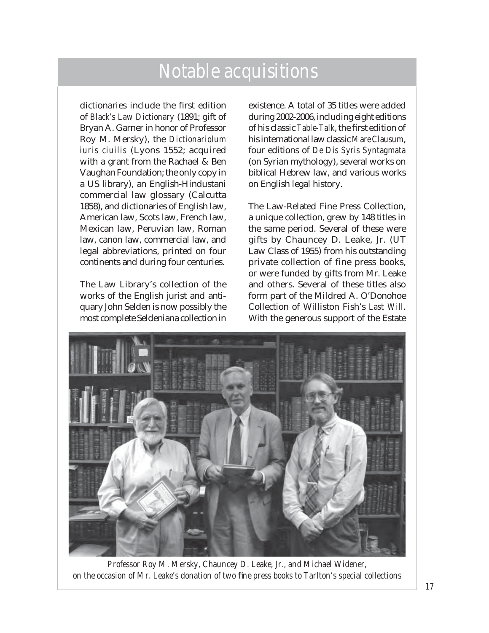dictionaries include the first edition of *Black's Law Dictionary* (1891; gift of Bryan A. Garner in honor of Professor Roy M. Mersky), the *Dictionariolum iuris ciuilis* (Lyons 1552; acquired with a grant from the Rachael & Ben Vaughan Foundation; the only copy in a US library), an English-Hindustani commercial law glossary (Calcutta 1858), and dictionaries of English law, American law, Scots law, French law, Mexican law, Peruvian law, Roman law, canon law, commercial law, and legal abbreviations, printed on four continents and during four centuries.

The Law Library's collection of the works of the English jurist and antiquary John Selden is now possibly the most complete Seldeniana collection in

existence. A total of 35 titles were added during 2002-2006, including eight editions of his classic *Table-Talk*, the first edition of his international law classic *Mare Clausum*, four editions of *De Dis Syris Syntagmata*  (on Syrian mythology), several works on biblical Hebrew law, and various works on English legal history.

The Law-Related Fine Press Collection, a unique collection, grew by 148 titles in the same period. Several of these were gifts by Chauncey D. Leake, Jr. (UT Law Class of 1955) from his outstanding private collection of fine press books, or were funded by gifts from Mr. Leake and others. Several of these titles also form part of the Mildred A. O'Donohoe Collection of Williston Fish's *Last Will*. With the generous support of the Estate



*Professor Roy M. Mersky, Chauncey D. Leake, Jr., and Michael Widener,* on the occasion of Mr. Leake's donation of two fine press books to Tarlton's special collections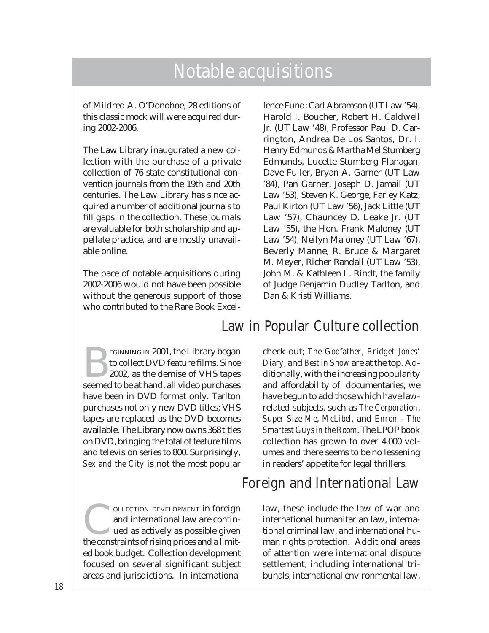of Mildred A. O'Donohoe, 28 editions of this classic mock will were acquired during 2002-2006.

The Law Library inaugurated a new collection with the purchase of a private collection of 76 state constitutional convention journals from the 19th and 20th centuries. The Law Library has since acquired a number of additional journals to fill gaps in the collection. These journals are valuable for both scholarship and appellate practice, and are mostly unavailable online.

The pace of notable acquisitions during 2002-2006 would not have been possible without the generous support of those who contributed to the Rare Book Excellence Fund: Carl Abramson (UT Law '54), Harold I. Boucher, Robert H. Caldwell Jr. (UT Law '48), Professor Paul D. Carrington, Andrea De Los Santos, Dr. I. Henry Edmunds & Martha Mel Stumberg Edmunds, Lucette Stumberg Flanagan, Dave Fuller, Bryan A. Garner (UT Law '84), Pan Garner, Joseph D. Jamail (UT Law '53), Steven K. George, Farley Katz, Paul Kirton (UT Law '56), Jack Little (UT Law '57), Chauncey D. Leake Jr. (UT Law '55), the Hon. Frank Maloney (UT Law '54), Neilyn Maloney (UT Law '67), Beverly Manne, R. Bruce & Margaret M. Meyer, Richer Randall (UT Law '53), John M. & Kathleen L. Rindt, the family of Judge Benjamin Dudley Tarlton, and Dan & Kristi Williams.

#### Law in Popular Culture collection

EGINNING IN 2001, the Library began to collect DVD feature films. Since 2002, as the demise of VHS tapes seemed to be at hand, all video purchases have been in DVD format only. Tarlton purchases not only new DVD titles; VHS tapes are replaced as the DVD becomes available. The Library now owns 368 titles on DVD, bringing the total of feature films and television series to 800. Surprisingly, *Sex and the City* is not the most popular

OLLECTION DEVELOPMENT in foreign and international law are continued as actively as possible given the constraints of rising prices and a limited book budget. Collection development focused on several significant subject areas and jurisdictions. In international

check-out; *The Godfather*, *Bridget Jones' Diary*, and *Best in Show* are at the top. Additionally, with the increasing popularity and affordability of documentaries, we have begun to add those which have lawrelated subjects, such as *The Corporation*, *Super Size Me*, *McLibel*, and *Enron - The Smartest Guys in the Room*. The LPOP book collection has grown to over 4,000 volumes and there seems to be no lessening in readers' appetite for legal thrillers.

#### Foreign and International Law

law, these include the law of war and international humanitarian law, international criminal law, and international human rights protection. Additional areas of attention were international dispute settlement, including international tribunals, international environmental law,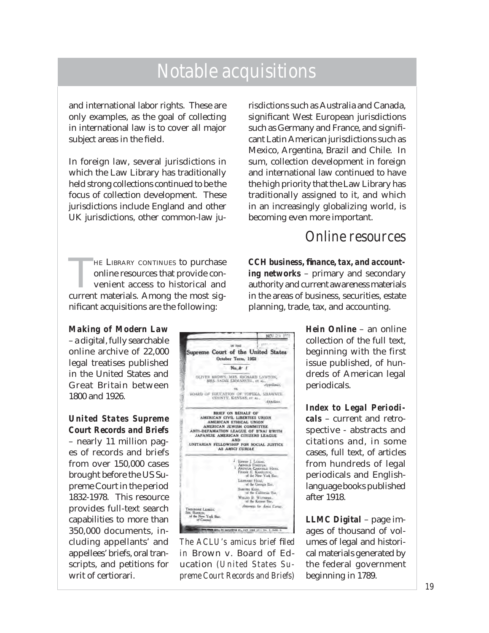and international labor rights. These are only examples, as the goal of collecting in international law is to cover all major subject areas in the field.

In foreign law, several jurisdictions in which the Law Library has traditionally held strong collections continued to be the focus of collection development. These jurisdictions include England and other UK jurisdictions, other common-law ju-

HE LIBRARY CONTINUES to purchase online resources that provide convenient access to historical and current materials. Among the most significant acquisitions are the following:

*Making of Modern Law* – a digital, fully searchable online archive of 22,000 legal treatises published in the United States and Great Britain between 1800 and 1926.

*United States Supreme Court Records and Briefs* – nearly 11 million pages of records and briefs from over 150,000 cases brought before the US Supreme Court in the period 1832-1978. This resource provides full-text search capabilities to more than 350,000 documents, including appellants' and appellees' briefs, oral transcripts, and petitions for writ of certiorari.

**NOV** 23, 195 ne met Supreme Court of the United States October Term, 1952  $N_{\rm B}$   $\approx$  1 OLIVEN BROWN, MNS, RICHARD LAWTON, MRS, SADIE EMMANITEL, et al., Appellent, 96 BOARD OF BILICATION OF TOPEKA, SILAWNEE BRIEF ON BENALF OF<br>AMERICAN CIVIL LIBERTES UNION<br>AMERICAN ETHICAL UNION<br>AND AMERICAN JEWISH COMMITTEE<br>ANTI-DEFAMATION LEAGUE OF EYAL ETHITH<br>JAPANESE AMERICAN CITIZERS LEAGUE DRITARIAN FELLOWSHIP FOR SOCIAL JUSTICE FROWIN J. LORAS.<br>ARNOLD FORTITAN.<br>V. ARTHUR CARTHELD HAYS.<br>FRANK E. KARTLERK.<br>Of the New York Bat. LEONARD HAAS,<br>of the Georgia Bar, SARGRO King,<br>SARGRO King,<br>of the California Bat, WALDO B WEYNINGE.<br>of the Kennet Bar. Attorneys for Amia Carter. **CELENCE** re York Bar MA 2004, 04 baranting at, our sine 12-ya. 1-5402.

*The ACLU's amicus brief filed in* Brown v. Board of Education *(United States Supreme Court Records and Briefs)*

risdictions such as Australia and Canada, significant West European jurisdictions such as Germany and France, and significant Latin American jurisdictions such as Mexico, Argentina, Brazil and Chile. In sum, collection development in foreign and international law continued to have the high priority that the Law Library has traditionally assigned to it, and which in an increasingly globalizing world, is becoming even more important.

#### Online resources

*CCH business, fi nance, tax, and accounting networks* – primary and secondary authority and current awareness materials in the areas of business, securities, estate planning, trade, tax, and accounting.

> *Hein Online* – an online collection of the full text, beginning with the first issue published, of hundreds of American legal periodicals.

> *Index to Legal Periodicals* – current and retrospective - abstracts and citations and, in some cases, full text, of articles from hundreds of legal periodicals and Englishlanguage books published after 1918.

> *LLMC Digital* – page images of thousand of volumes of legal and historical materials generated by the federal government beginning in 1789.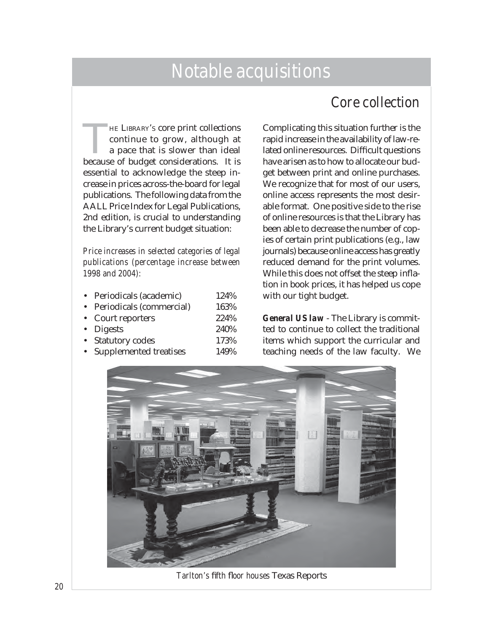#### Core collection

HE LIBRARY's core print collections<br>
continue to grow, although at<br>
a pace that is slower than ideal<br>
because of budget considerations. It is continue to grow, although at a pace that is slower than ideal because of budget considerations. It is essential to acknowledge the steep increase in prices across-the-board for legal publications. The following data from the AALL Price Index for Legal Publications, 2nd edition, is crucial to understanding the Library's current budget situation:

*Price increases in selected categories of legal publications (percentage increase between 1998 and 2004):*

| • Periodicals (academic)   | 124% |
|----------------------------|------|
| • Periodicals (commercial) | 163% |
| • Court reporters          | 224% |
| • Digests                  | 240% |
| • Statutory codes          | 173% |
| • Supplemented treatises   | 149% |

Complicating this situation further is the rapid increase in the availability of law-related online resources. Difficult questions have arisen as to how to allocate our budget between print and online purchases. We recognize that for most of our users, online access represents the most desirable format. One positive side to the rise of online resources is that the Library has been able to decrease the number of copies of certain print publications (e.g., law journals) because online access has greatly reduced demand for the print volumes. While this does not offset the steep inflation in book prices, it has helped us cope with our tight budget.

*General US law* - The Library is committed to continue to collect the traditional items which support the curricular and teaching needs of the law faculty. We



**Tarlton's fifth floor houses Texas Reports**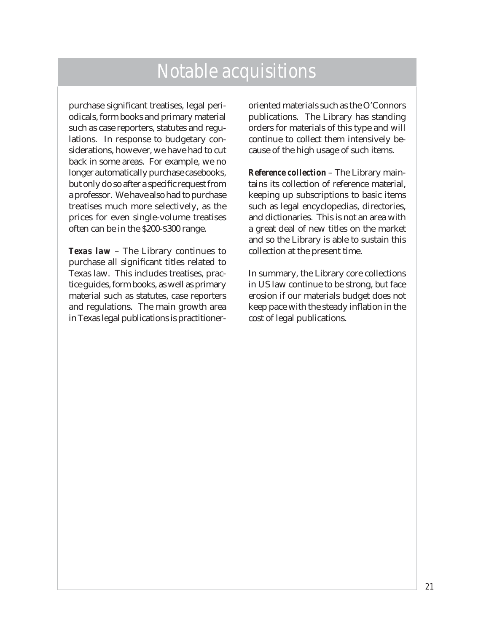purchase significant treatises, legal periodicals, form books and primary material such as case reporters, statutes and regulations. In response to budgetary considerations, however, we have had to cut back in some areas. For example, we no longer automatically purchase casebooks, but only do so after a specific request from a professor. We have also had to purchase treatises much more selectively, as the prices for even single-volume treatises often can be in the \$200-\$300 range.

*Texas law* – The Library continues to purchase all significant titles related to Texas law. This includes treatises, practice guides, form books, as well as primary material such as statutes, case reporters and regulations. The main growth area in Texas legal publications is practitioner-

oriented materials such as the O'Connors publications. The Library has standing orders for materials of this type and will continue to collect them intensively because of the high usage of such items.

*Reference collection* – The Library maintains its collection of reference material, keeping up subscriptions to basic items such as legal encyclopedias, directories, and dictionaries. This is not an area with a great deal of new titles on the market and so the Library is able to sustain this collection at the present time.

In summary, the Library core collections in US law continue to be strong, but face erosion if our materials budget does not keep pace with the steady inflation in the cost of legal publications.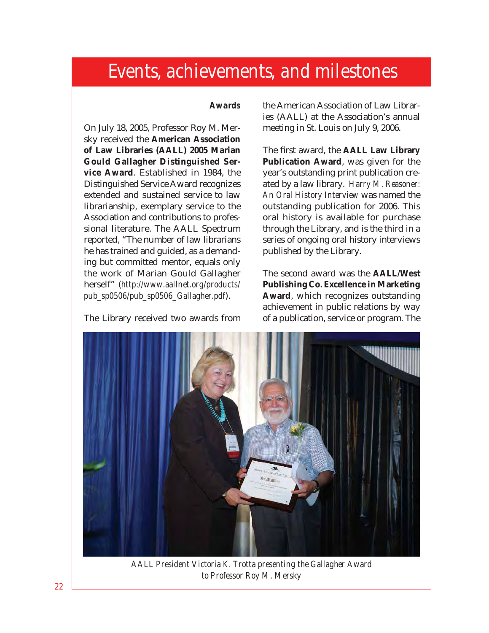#### *Awards*

<span id="page-26-0"></span>On July 18, 2005, Professor Roy M. Mersky received the **American Association of Law Libraries (AALL) 2005 Marian Gould Gallagher Distinguished Service Award**. Established in 1984, the Distinguished Service Award recognizes extended and sustained service to law librarianship, exemplary service to the Association and contributions to professional literature. The AALL Spectrum reported, "The number of law librarians he has trained and guided, as a demanding but committed mentor, equals only the work of Marian Gould Gallagher herself" (*http://www.aallnet.org/products/ pub\_sp0506/pub\_sp0506\_Gallagher.pdf*).

The Library received two awards from

the American Association of Law Libraries (AALL) at the Association's annual meeting in St. Louis on July 9, 2006.

The first award, the **AALL Law Library Publication Award**, was given for the year's outstanding print publication created by a law library. *Harry M. Reasoner: An Oral History Interview* was named the outstanding publication for 2006. This oral history is available for purchase through the Library, and is the third in a series of ongoing oral history interviews published by the Library.

The second award was the **AALL/West Publishing Co. Excellence in Marketing Award**, which recognizes outstanding achievement in public relations by way of a publication, service or program. The



*AALL President Victoria K. Trotta presenting the Gallagher Award to Professor Roy M. Mersky*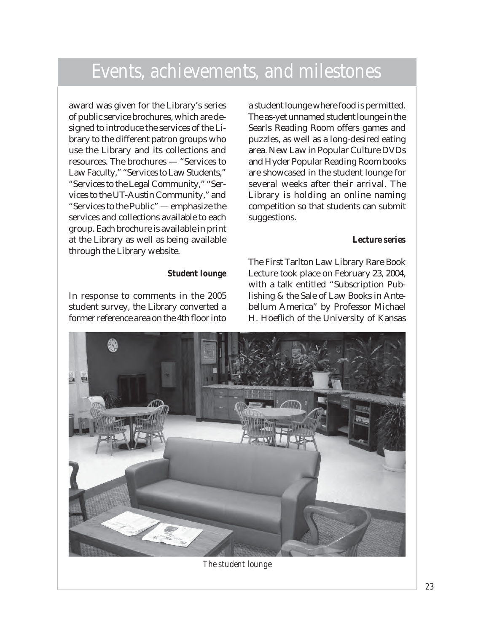award was given for the Library's series of public service brochures, which are designed to introduce the services of the Library to the different patron groups who use the Library and its collections and resources. The brochures — "Services to Law Faculty," "Services to Law Students," "Services to the Legal Community," "Services to the UT-Austin Community," and "Services to the Public" — emphasize the services and collections available to each group. Each brochure is available in print at the Library as well as being available through the Library website.

#### *Student lounge*

In response to comments in the 2005 student survey, the Library converted a former reference area on the 4th floor into

a student lounge where food is permitted. The as-yet unnamed student lounge in the Searls Reading Room offers games and puzzles, as well as a long-desired eating area. New Law in Popular Culture DVDs and Hyder Popular Reading Room books are showcased in the student lounge for several weeks after their arrival. The Library is holding an online naming competition so that students can submit suggestions.

#### *Lecture series*

The First Tarlton Law Library Rare Book Lecture took place on February 23, 2004, with a talk entitled "Subscription Publishing & the Sale of Law Books in Antebellum America" by Professor Michael H. Hoeflich of the University of Kansas



*The student lounge*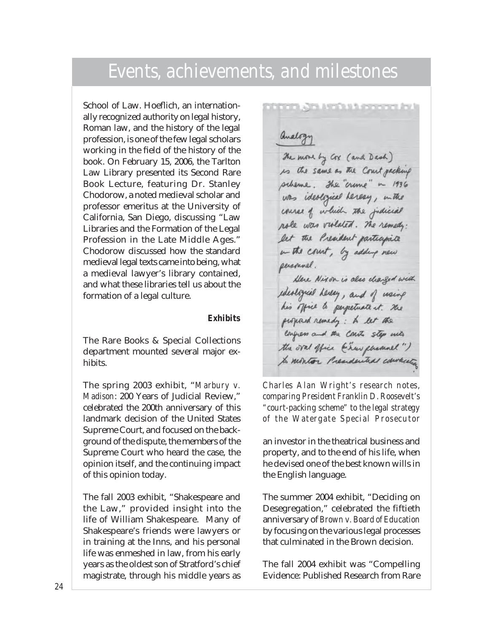School of Law. Hoeflich, an internationally recognized authority on legal history, Roman law, and the history of the legal profession, is one of the few legal scholars working in the field of the history of the book. On February 15, 2006, the Tarlton Law Library presented its Second Rare Book Lecture, featuring Dr. Stanley Chodorow, a noted medieval scholar and professor emeritus at the University of California, San Diego, discussing "Law Libraries and the Formation of the Legal Profession in the Late Middle Ages." Chodorow discussed how the standard medieval legal texts came into being, what a medieval lawyer's library contained, and what these libraries tell us about the formation of a legal culture.

#### *Exhibits*

The Rare Books & Special Collections department mounted several major exhibits.

The spring 2003 exhibit, "*Marbury v. Madison*: 200 Years of Judicial Review," celebrated the 200th anniversary of this landmark decision of the United States Supreme Court, and focused on the background of the dispute, the members of the Supreme Court who heard the case, the opinion itself, and the continuing impact of this opinion today.

The fall 2003 exhibit, "Shakespeare and the Law," provided insight into the life of William Shakespeare. Many of Shakespeare's friends were lawyers or in training at the Inns, and his personal life was enmeshed in law, from his early years as the oldest son of Stratford's chief magistrate, through his middle years as

Qualogy

The move by Cox (and Dash) is the same as the Court packing scheme. The crime" in 1936 was ideological hereay, in the course of which the judicial role was violated. The remedy: let the President participate in the court, by adding new seisonnel.

Here Nixon is also charged with ideological hereby, and of using his office to perpetuate it. The proposed remedy: A let the empress and the Court step with the oval office (enew phemoel") to montor Presidential conversion

*Charles Alan Wright's research notes, comparing President Franklin D. Roosevelt's "court-packing scheme" to the legal strategy of the Watergate Special Prosecutor* 

an investor in the theatrical business and property, and to the end of his life, when he devised one of the best known wills in the English language.

The summer 2004 exhibit, "Deciding on Desegregation," celebrated the fiftieth anniversary of *Brown v. Board of Education* by focusing on the various legal processes that culminated in the Brown decision.

The fall 2004 exhibit was "Compelling Evidence: Published Research from Rare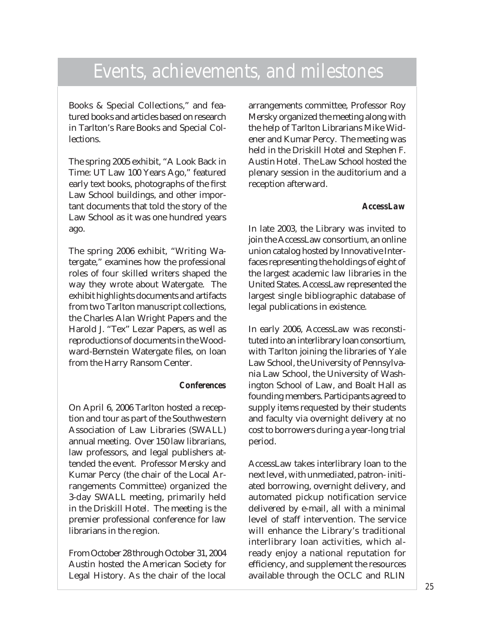Books & Special Collections," and featured books and articles based on research in Tarlton's Rare Books and Special Collections.

The spring 2005 exhibit, "A Look Back in Time: UT Law 100 Years Ago," featured early text books, photographs of the first Law School buildings, and other important documents that told the story of the Law School as it was one hundred years ago.

The spring 2006 exhibit, "Writing Watergate," examines how the professional roles of four skilled writers shaped the way they wrote about Watergate. The exhibit highlights documents and artifacts from two Tarlton manuscript collections, the Charles Alan Wright Papers and the Harold J. "Tex" Lezar Papers, as well as reproductions of documents in the Woodward-Bernstein Watergate files, on loan from the Harry Ransom Center.

#### *Conferences*

On April 6, 2006 Tarlton hosted a reception and tour as part of the Southwestern Association of Law Libraries (SWALL) annual meeting. Over 150 law librarians, law professors, and legal publishers attended the event. Professor Mersky and Kumar Percy (the chair of the Local Arrangements Committee) organized the 3-day SWALL meeting, primarily held in the Driskill Hotel. The meeting is the premier professional conference for law librarians in the region.

From October 28 through October 31, 2004 Austin hosted the American Society for Legal History. As the chair of the local arrangements committee, Professor Roy Mersky organized the meeting along with the help of Tarlton Librarians Mike Widener and Kumar Percy. The meeting was held in the Driskill Hotel and Stephen F. Austin Hotel. The Law School hosted the plenary session in the auditorium and a reception afterward.

#### *AccessLaw*

In late 2003, the Library was invited to join the AccessLaw consortium, an online union catalog hosted by Innovative Interfaces representing the holdings of eight of the largest academic law libraries in the United States. AccessLaw represented the largest single bibliographic database of legal publications in existence.

In early 2006, AccessLaw was reconstituted into an interlibrary loan consortium, with Tarlton joining the libraries of Yale Law School, the University of Pennsylvania Law School, the University of Washington School of Law, and Boalt Hall as founding members. Participants agreed to supply items requested by their students and faculty via overnight delivery at no cost to borrowers during a year-long trial period.

AccessLaw takes interlibrary loan to the next level, with unmediated, patron- initiated borrowing, overnight delivery, and automated pickup notification service delivered by e-mail, all with a minimal level of staff intervention. The service will enhance the Library's traditional interlibrary loan activities, which already enjoy a national reputation for efficiency, and supplement the resources available through the OCLC and RLIN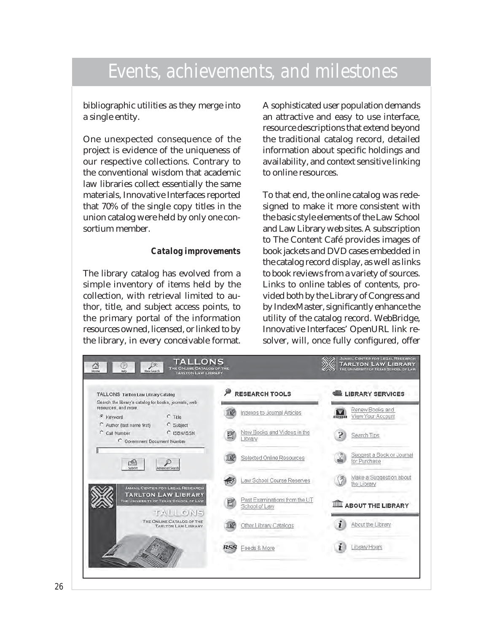bibliographic utilities as they merge into a single entity.

One unexpected consequence of the project is evidence of the uniqueness of our respective collections. Contrary to the conventional wisdom that academic law libraries collect essentially the same materials, Innovative Interfaces reported that 70% of the single copy titles in the union catalog were held by only one consortium member.

#### *Catalog improvements*

The library catalog has evolved from a simple inventory of items held by the collection, with retrieval limited to author, title, and subject access points, to the primary portal of the information resources owned, licensed, or linked to by the library, in every conceivable format. A sophisticated user population demands an attractive and easy to use interface, resource descriptions that extend beyond the traditional catalog record, detailed information about specific holdings and availability, and context sensitive linking to online resources.

To that end, the online catalog was redesigned to make it more consistent with the basic style elements of the Law School and Law Library web sites. A subscription to The Content Café provides images of book jackets and DVD cases embedded in the catalog record display, as well as links to book reviews from a variety of sources. Links to online tables of contents, provided both by the Library of Congress and by IndexMaster, significantly enhance the utility of the catalog record. WebBridge, Innovative Interfaces' OpenURL link resolver, will, once fully configured, offer

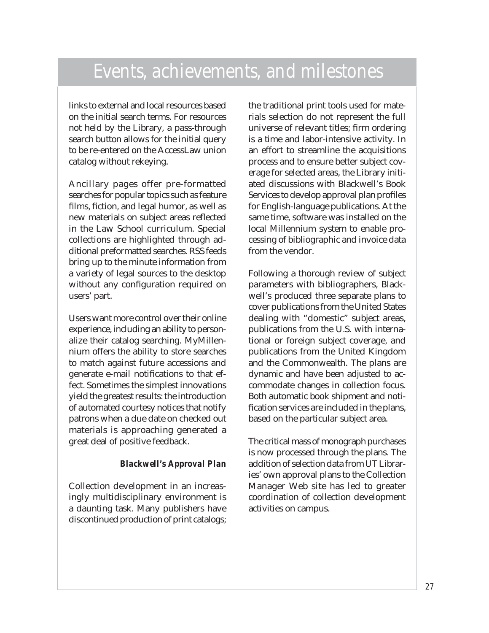links to external and local resources based on the initial search terms. For resources not held by the Library, a pass-through search button allows for the initial query to be re-entered on the AccessLaw union catalog without rekeying.

Ancillary pages offer pre-formatted searches for popular topics such as feature films, fiction, and legal humor, as well as new materials on subject areas reflected in the Law School curriculum. Special collections are highlighted through additional preformatted searches. RSS feeds bring up to the minute information from a variety of legal sources to the desktop without any configuration required on users' part.

Users want more control over their online experience, including an ability to personalize their catalog searching. MyMillennium offers the ability to store searches to match against future accessions and generate e-mail notifications to that effect. Sometimes the simplest innovations yield the greatest results: the introduction of automated courtesy notices that notify patrons when a due date on checked out materials is approaching generated a great deal of positive feedback.

#### *Blackwell's Approval Plan*

Collection development in an increasingly multidisciplinary environment is a daunting task. Many publishers have discontinued production of print catalogs;

the traditional print tools used for materials selection do not represent the full universe of relevant titles; firm ordering is a time and labor-intensive activity. In an effort to streamline the acquisitions process and to ensure better subject coverage for selected areas, the Library initiated discussions with Blackwell's Book Services to develop approval plan profiles for English-language publications. At the same time, software was installed on the local Millennium system to enable processing of bibliographic and invoice data from the vendor.

Following a thorough review of subject parameters with bibliographers, Blackwell's produced three separate plans to cover publications from the United States dealing with "domestic" subject areas, publications from the U.S. with international or foreign subject coverage, and publications from the United Kingdom and the Commonwealth. The plans are dynamic and have been adjusted to accommodate changes in collection focus. Both automatic book shipment and notification services are included in the plans, based on the particular subject area.

The critical mass of monograph purchases is now processed through the plans. The addition of selection data from UT Libraries' own approval plans to the Collection Manager Web site has led to greater coordination of collection development activities on campus.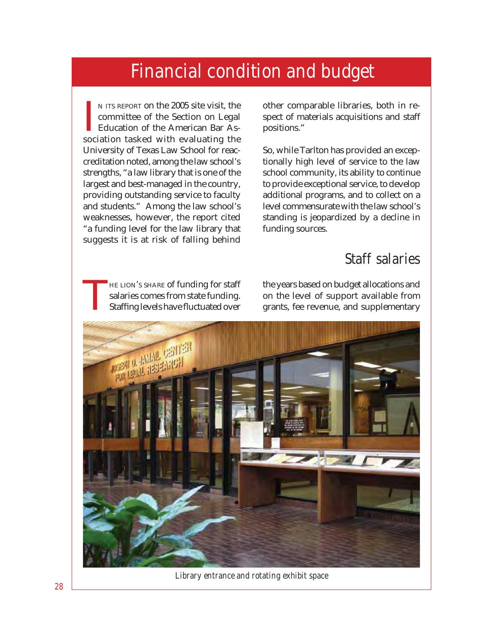<span id="page-32-0"></span>IN ITS REPORT ON the 2005 site visit, the committee of the Section on Legal Education of the American Bar Association tasked with evaluating the N ITS REPORT on the 2005 site visit, the committee of the Section on Legal Education of the American Bar As-University of Texas Law School for reaccreditation noted, among the law school's strengths, "a law library that is one of the largest and best-managed in the country, providing outstanding service to faculty and students." Among the law school's weaknesses, however, the report cited "a funding level for the law library that suggests it is at risk of falling behind

other comparable libraries, both in respect of materials acquisitions and staff positions."

So, while Tarlton has provided an exceptionally high level of service to the law school community, its ability to continue to provide exceptional service, to develop additional programs, and to collect on a level commensurate with the law school's standing is jeopardized by a decline in funding sources.

#### Staff salaries

HE LION'S SHARE of funding for staff salaries comes from state funding. Staffing levels have fluctuated over

the years based on budget allocations and on the level of support available from grants, fee revenue, and supplementary



*Library entrance and rotating exhibit space*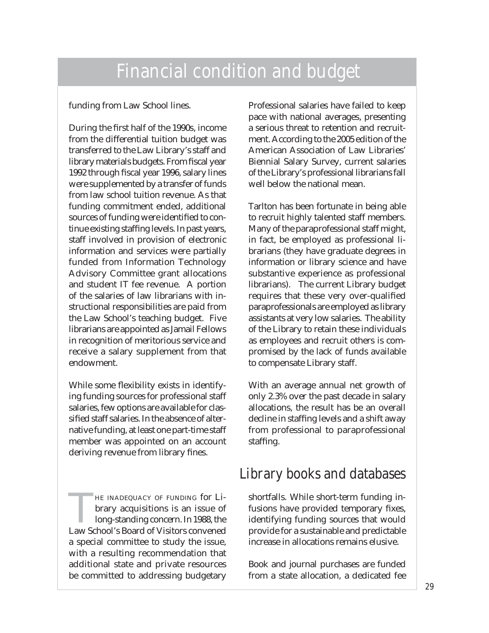funding from Law School lines.

During the first half of the 1990s, income from the differential tuition budget was transferred to the Law Library's staff and library materials budgets. From fiscal year 1992 through fiscal year 1996, salary lines were supplemented by a transfer of funds from law school tuition revenue. As that funding commitment ended, additional sources of funding were identified to continue existing staffing levels. In past years, staff involved in provision of electronic information and services were partially funded from Information Technology Advisory Committee grant allocations and student IT fee revenue. A portion of the salaries of law librarians with instructional responsibilities are paid from the Law School's teaching budget. Five librarians are appointed as Jamail Fellows in recognition of meritorious service and receive a salary supplement from that endowment.

While some flexibility exists in identifying funding sources for professional staff salaries, few options are available for classified staff salaries. In the absence of alternative funding, at least one part-time staff member was appointed on an account deriving revenue from library fines.

HE INADEQUACY OF FUNDING for Library acquisitions is an issue of long-standing concern. In 1988, the Law School's Board of Visitors convened a special committee to study the issue, with a resulting recommendation that additional state and private resources be committed to addressing budgetary

Professional salaries have failed to keep pace with national averages, presenting a serious threat to retention and recruitment. According to the 2005 edition of the American Association of Law Libraries' Biennial Salary Survey, current salaries of the Library's professional librarians fall well below the national mean.

Tarlton has been fortunate in being able to recruit highly talented staff members. Many of the paraprofessional staff might, in fact, be employed as professional librarians (they have graduate degrees in information or library science and have substantive experience as professional librarians). The current Library budget requires that these very over-qualified paraprofessionals are employed as library assistants at very low salaries. The ability of the Library to retain these individuals as employees and recruit others is compromised by the lack of funds available to compensate Library staff.

With an average annual net growth of only 2.3% over the past decade in salary allocations, the result has be an overall decline in staffing levels and a shift away from professional to paraprofessional staffing.

#### Library books and databases

shortfalls. While short-term funding infusions have provided temporary fixes, identifying funding sources that would provide for a sustainable and predictable increase in allocations remains elusive.

Book and journal purchases are funded from a state allocation, a dedicated fee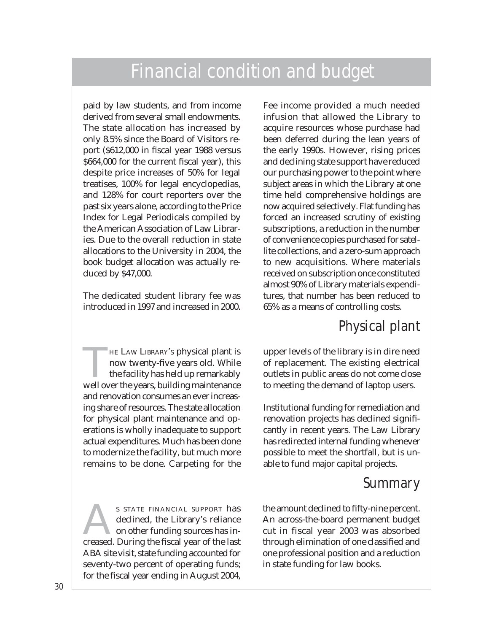paid by law students, and from income derived from several small endowments. The state allocation has increased by only 8.5% since the Board of Visitors report (\$612,000 in fiscal year 1988 versus \$664,000 for the current fiscal year), this despite price increases of 50% for legal treatises, 100% for legal encyclopedias, and 128% for court reporters over the past six years alone, according to the Price Index for Legal Periodicals compiled by the American Association of Law Libraries. Due to the overall reduction in state allocations to the University in 2004, the book budget allocation was actually reduced by \$47,000.

The dedicated student library fee was introduced in 1997 and increased in 2000.

**HE LAW LIBRARY'S physical plant is** now twenty-five years old. While the facility has held up remarkably well over the years, building maintenance and renovation consumes an ever increasing share of resources. The state allocation for physical plant maintenance and operations is wholly inadequate to support actual expenditures. Much has been done to modernize the facility, but much more remains to be done. Carpeting for the

S STATE FINANCIAL SUPPORT has<br>declined, the Library's reliance<br>on other funding sources has in-<br>creased During the fiscal year of the last declined, the Library's reliance on other funding sources has increased. During the fiscal year of the last ABA site visit, state funding accounted for seventy-two percent of operating funds; for the fiscal year ending in August 2004,

Fee income provided a much needed infusion that allowed the Library to acquire resources whose purchase had been deferred during the lean years of the early 1990s. However, rising prices and declining state support have reduced our purchasing power to the point where subject areas in which the Library at one time held comprehensive holdings are now acquired selectively. Flat funding has forced an increased scrutiny of existing subscriptions, a reduction in the number of convenience copies purchased for satellite collections, and a zero-sum approach to new acquisitions. Where materials received on subscription once constituted almost 90% of Library materials expenditures, that number has been reduced to 65% as a means of controlling costs.

#### Physical plant

upper levels of the library is in dire need of replacement. The existing electrical outlets in public areas do not come close to meeting the demand of laptop users.

Institutional funding for remediation and renovation projects has declined significantly in recent years. The Law Library has redirected internal funding whenever possible to meet the shortfall, but is unable to fund major capital projects.

#### Summary

the amount declined to fifty-nine percent. An across-the-board permanent budget cut in fiscal year 2003 was absorbed through elimination of one classified and one professional position and a reduction in state funding for law books.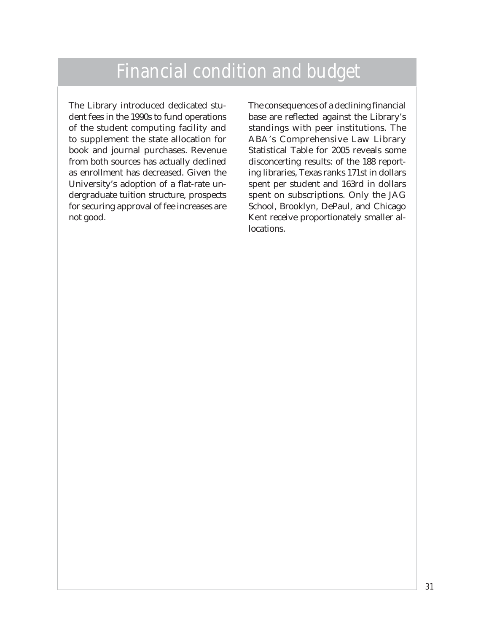The Library introduced dedicated student fees in the 1990s to fund operations of the student computing facility and to supplement the state allocation for book and journal purchases. Revenue from both sources has actually declined as enrollment has decreased. Given the University's adoption of a flat-rate undergraduate tuition structure, prospects for securing approval of fee increases are not good.

The consequences of a declining financial base are reflected against the Library's standings with peer institutions. The ABA's Comprehensive Law Library Statistical Table for 2005 reveals some disconcerting results: of the 188 reporting libraries, Texas ranks 171st in dollars spent per student and 163rd in dollars spent on subscriptions. Only the JAG School, Brooklyn, DePaul, and Chicago Kent receive proportionately smaller allocations.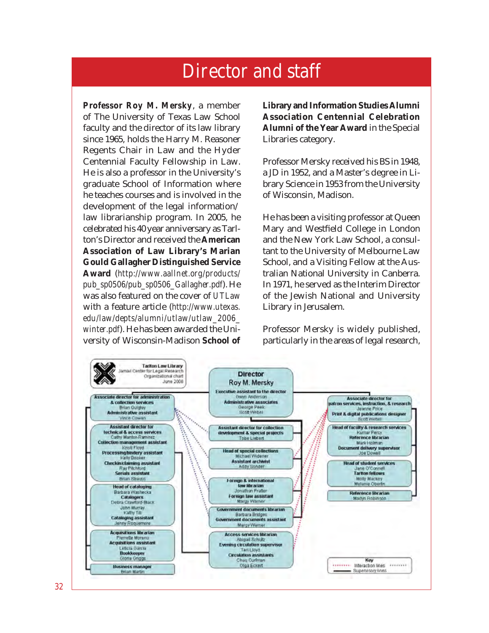<span id="page-36-0"></span>*Professor Roy M. Mersky*, a member of The University of Texas Law School faculty and the director of its law library since 1965, holds the Harry M. Reasoner Regents Chair in Law and the Hyder Centennial Faculty Fellowship in Law. He is also a professor in the University's graduate School of Information where he teaches courses and is involved in the development of the legal information/ law librarianship program. In 2005, he celebrated his 40 year anniversary as Tarlton's Director and received the **American Association of Law Library's Marian Gould Gallagher Distinguished Service Award** (*http://www.aallnet.org/products/ pub\_sp0506/pub\_sp0506\_Gallagher.pdf*). He was also featured on the cover of *UTLaw* with a feature article (*http://www.utexas. edu/law/depts/alumni/utlaw/utlaw\_2006\_ winter.pdf*). He has been awarded the University of Wisconsin-Madison **School of**  **Library and Information Studies Alumni Association Centennial Celebration Alumni of the Year Award** in the Special Libraries category.

Professor Mersky received his BS in 1948, a JD in 1952, and a Master's degree in Library Science in 1953 from the University of Wisconsin, Madison.

He has been a visiting professor at Queen Mary and Westfield College in London and the New York Law School, a consultant to the University of Melbourne Law School, and a Visiting Fellow at the Australian National University in Canberra. In 1971, he served as the Interim Director of the Jewish National and University Library in Jerusalem.

Professor Mersky is widely published, particularly in the areas of legal research,

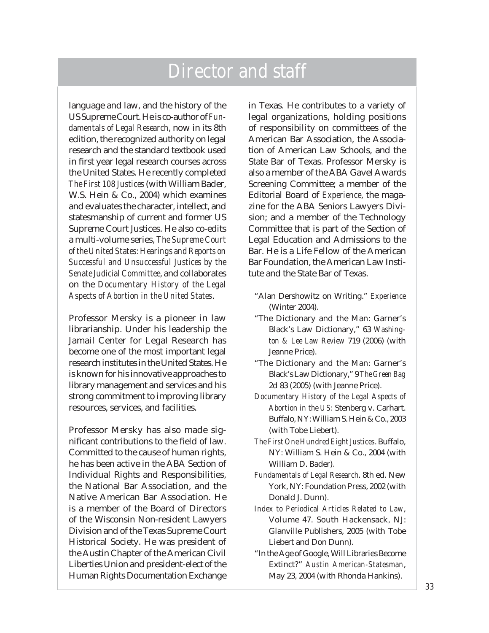language and law, and the history of the US Supreme Court. He is co-author of *Fundamentals of Legal Research*, now in its 8th edition, the recognized authority on legal research and the standard textbook used in first year legal research courses across the United States. He recently completed *The First 108 Justices* (with William Bader, W.S. Hein & Co., 2004) which examines and evaluates the character, intellect, and statesmanship of current and former US Supreme Court Justices. He also co-edits a multi-volume series, *The Supreme Court of the United States: Hearings and Reports on Successful and Unsuccessful Justices by the Senate Judicial Committee*, and collaborates on the *Documentary History of the Legal Aspects of Abortion in the United States*.

Professor Mersky is a pioneer in law librarianship. Under his leadership the Jamail Center for Legal Research has become one of the most important legal research institutes in the United States. He is known for his innovative approaches to library management and services and his strong commitment to improving library resources, services, and facilities.

Professor Mersky has also made significant contributions to the field of law. Committed to the cause of human rights, he has been active in the ABA Section of Individual Rights and Responsibilities, the National Bar Association, and the Native American Bar Association. He is a member of the Board of Directors of the Wisconsin Non-resident Lawyers Division and of the Texas Supreme Court Historical Society. He was president of the Austin Chapter of the American Civil Liberties Union and president-elect of the Human Rights Documentation Exchange

in Texas. He contributes to a variety of legal organizations, holding positions of responsibility on committees of the American Bar Association, the Association of American Law Schools, and the State Bar of Texas. Professor Mersky is also a member of the ABA Gavel Awards Screening Committee; a member of the Editorial Board of *Experience*, the magazine for the ABA Seniors Lawyers Division; and a member of the Technology Committee that is part of the Section of Legal Education and Admissions to the Bar. He is a Life Fellow of the American Bar Foundation, the American Law Institute and the State Bar of Texas.

- "Alan Dershowitz on Writing." *Experience* (Winter 2004).
- "The Dictionary and the Man: Garner's Black's Law Dictionary," 63 *Washington & Lee Law Review* 719 (2006) (with Jeanne Price).
- "The Dictionary and the Man: Garner's Black's Law Dictionary," 9 *The Green Bag* 2d 83 (2005) (with Jeanne Price).
- *Documentary History of the Legal Aspects of Abortion in the US:* Stenberg v. Carhart. Buffalo, NY: William S. Hein & Co., 2003 (with Tobe Liebert).
- *The First One Hundred Eight Justices*. Buffalo, NY: William S. Hein & Co., 2004 (with William D. Bader).
- *Fundamentals of Legal Research*. 8th ed. New York, NY: Foundation Press, 2002 (with Donald J. Dunn).
- *Index to Periodical Articles Related to Law*, Volume 47. South Hackensack, NJ: Glanville Publishers, 2005 (with Tobe Liebert and Don Dunn).
- "In the Age of Google, Will Libraries Become Extinct?" *Austin American-Statesman*, May 23, 2004 (with Rhonda Hankins).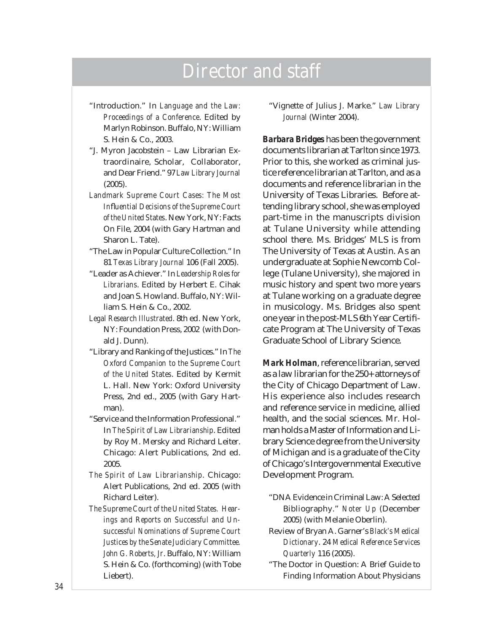- "Introduction." In *Language and the Law: Proceedings of a Conference*. Edited by Marlyn Robinson. Buffalo, NY: William S. Hein & Co., 2003.
- "J. Myron Jacobstein Law Librarian Extraordinaire, Scholar, Collaborator, and Dear Friend." 97 *Law Library Journal* (2005).
- *Landmark Supreme Court Cases: The Most Infl uential Decisions of the Supreme Court of the United States*. New York, NY: Facts On File, 2004 (with Gary Hartman and Sharon L. Tate).
- "The Law in Popular Culture Collection." In 81 *Texas Library Journal* 106 (Fall 2005).
- "Leader as Achiever." In *Leadership Roles for Librarians*. Edited by Herbert E. Cihak and Joan S. Howland. Buffalo, NY: William S. Hein & Co., 2002.
- *Legal Research Illustrated*. 8th ed. New York, NY: Foundation Press, 2002 (with Donald J. Dunn).
- "Library and Ranking of the Justices." In *The Oxford Companion to the Supreme Court of the United States*. Edited by Kermit L. Hall. New York: Oxford University Press, 2nd ed., 2005 (with Gary Hartman).
- "Service and the Information Professional." In *The Spirit of Law Librarianship*. Edited by Roy M. Mersky and Richard Leiter. Chicago: Alert Publications, 2nd ed. 2005.
- *The Spirit of Law Librarianship*. Chicago: Alert Publications, 2nd ed. 2005 (with Richard Leiter).
- *The Supreme Court of the United States. Hearings and Reports on Successful and Unsuccessful Nominations of Supreme Court Justices by the Senate Judiciary Committee. John G. Roberts, Jr*. Buffalo, NY: William S. Hein & Co. (forthcoming) (with Tobe Liebert).

"Vignette of Julius J. Marke." *Law Library Journal* (Winter 2004).

*Barbara Bridges* has been the government documents librarian at Tarlton since 1973. Prior to this, she worked as criminal justice reference librarian at Tarlton, and as a documents and reference librarian in the University of Texas Libraries. Before attending library school, she was employed part-time in the manuscripts division at Tulane University while attending school there. Ms. Bridges' MLS is from The University of Texas at Austin. As an undergraduate at Sophie Newcomb College (Tulane University), she majored in music history and spent two more years at Tulane working on a graduate degree in musicology. Ms. Bridges also spent one year in the post-MLS 6th Year Certifi cate Program at The University of Texas Graduate School of Library Science.

*Mark Holman*, reference librarian, served as a law librarian for the 250+ attorneys of the City of Chicago Department of Law. His experience also includes research and reference service in medicine, allied health, and the social sciences. Mr. Holman holds a Master of Information and Library Science degree from the University of Michigan and is a graduate of the City of Chicago's Intergovernmental Executive Development Program.

- "DNA Evidence in Criminal Law: A Selected Bibliography." *Noter Up* (December 2005) (with Melanie Oberlin).
- Review of Bryan A. Garner's *Black's Medical Dictionary*. 24 *Medical Reference Services Quarterly* 116 (2005).
- "The Doctor in Question: A Brief Guide to Finding Information About Physicians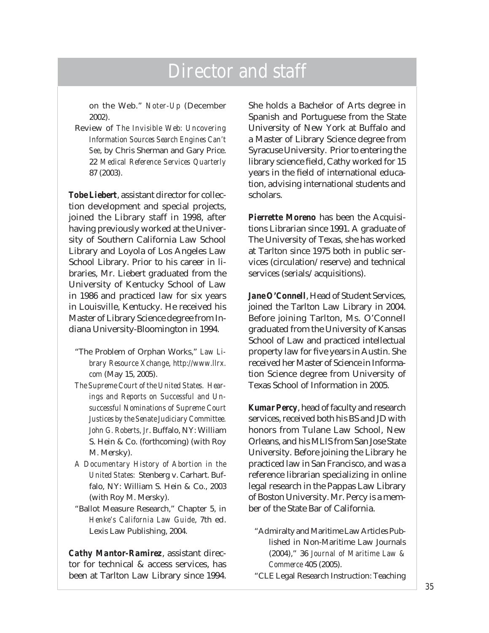on the Web." *Noter-Up* (December 2002).

Review of *The Invisible Web: Uncovering Information Sources Search Engines Can't See*, by Chris Sherman and Gary Price. 22 *Medical Reference Services Quarterly* 87 (2003).

*Tobe Liebert*, assistant director for collection development and special projects, joined the Library staff in 1998, after having previously worked at the University of Southern California Law School Library and Loyola of Los Angeles Law School Library. Prior to his career in libraries, Mr. Liebert graduated from the University of Kentucky School of Law in 1986 and practiced law for six years in Louisville, Kentucky. He received his Master of Library Science degree from Indiana University-Bloomington in 1994.

- "The Problem of Orphan Works," *Law Library Resource Xchange*, *http://www.llrx. com* (May 15, 2005).
- *The Supreme Court of the United States. Hearings and Reports on Successful and Unsuccessful Nominations of Supreme Court Justices by the Senate Judiciary Committee. John G. Roberts, Jr*. Buffalo, NY: William S. Hein & Co. (forthcoming) (with Roy M. Mersky).
- *A Documentary History of Abortion in the United States:* Stenberg v. Carhart. Buffalo, NY: William S. Hein & Co., 2003 (with Roy M. Mersky).
- "Ballot Measure Research," Chapter 5, in *Henke's California Law Guide*, 7th ed. Lexis Law Publishing, 2004.

*Cathy Mantor-Ramirez*, assistant director for technical & access services, has been at Tarlton Law Library since 1994.

She holds a Bachelor of Arts degree in Spanish and Portuguese from the State University of New York at Buffalo and a Master of Library Science degree from Syracuse University. Prior to entering the library science field, Cathy worked for 15 years in the field of international education, advising international students and scholars.

*Pierrette Moreno* has been the Acquisitions Librarian since 1991. A graduate of The University of Texas, she has worked at Tarlton since 1975 both in public services (circulation/reserve) and technical services (serials/acquisitions).

*Jane O'Connell*, Head of Student Services, joined the Tarlton Law Library in 2004. Before joining Tarlton, Ms. O'Connell graduated from the University of Kansas School of Law and practiced intellectual property law for five years in Austin. She received her Master of Science in Information Science degree from University of Texas School of Information in 2005.

*Kumar Percy*, head of faculty and research services, received both his BS and JD with honors from Tulane Law School, New Orleans, and his MLIS from San Jose State University. Before joining the Library he practiced law in San Francisco, and was a reference librarian specializing in online legal research in the Pappas Law Library of Boston University. Mr. Percy is a member of the State Bar of California.

- "Admiralty and Maritime Law Articles Published in Non-Maritime Law Journals (2004)," 36 *Journal of Maritime Law & Commerce* 405 (2005).
- "CLE Legal Research Instruction: Teaching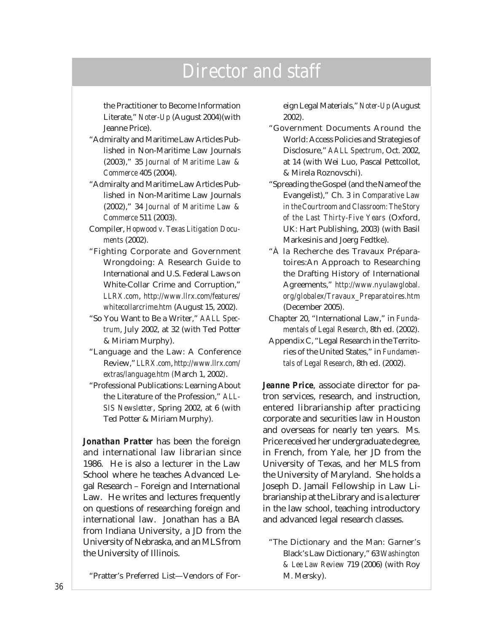the Practitioner to Become Information Literate," *Noter-Up* (August 2004)(with Jeanne Price).

- "Admiralty and Maritime Law Articles Published in Non-Maritime Law Journals (2003)," 35 *Journal of Maritime Law & Commerce* 405 (2004).
- "Admiralty and Maritime Law Articles Published in Non-Maritime Law Journals (2002)," 34 *Journal of Maritime Law & Commerce* 511 (2003).
- Compiler, *Hopwood v. Texas Litigation Documents* (2002).
- "Fighting Corporate and Government Wrongdoing: A Research Guide to International and U.S. Federal Laws on White-Collar Crime and Corruption," *LLRX.com*, *http://www.llrx.com/features/ whitecollarcrime.htm* (August 15, 2002).
- "So You Want to Be a Writer," *AALL Spectrum*, July 2002, at 32 (with Ted Potter & Miriam Murphy).
- "Language and the Law: A Conference Review," *LLRX.com*, *http://www.llrx.com/ extras/language.htm (*March 1, 2002*)*.
- "Professional Publications: Learning About the Literature of the Profession," *ALL-SIS Newsletter*, Spring 2002, at 6 (with Ted Potter & Miriam Murphy).

*Jonathan Pratter* has been the foreign and international law librarian since 1986. He is also a lecturer in the Law School where he teaches Advanced Legal Research – Foreign and International Law. He writes and lectures frequently on questions of researching foreign and international law. Jonathan has a BA from Indiana University, a JD from the University of Nebraska, and an MLS from the University of Illinois.

"Pratter's Preferred List—Vendors of For-

eign Legal Materials," *Noter-Up* (August 2002).

- "Government Documents Around the World: Access Policies and Strategies of Disclosure," *AALL Spectrum*, Oct. 2002, at 14 (with Wei Luo, Pascal Pettcollot, & Mirela Roznovschi).
- "Spreading the Gospel (and the Name of the Evangelist)," Ch. 3 in *Comparative Law in the Courtroom and Classroom: The Story of the Last Thirty-Five Years* (Oxford, UK: Hart Publishing, 2003) (with Basil Markesinis and Joerg Fedtke).
- "À la Recherche des Travaux Préparatoires:An Approach to Researching the Drafting History of International Agreements," *http://www.nyulawglobal. org/globalex/Travaux\_Preparatoires.htm* (December 2005).
- Chapter 20, "International Law," in *Fundamentals of Legal Research*, 8th ed. (2002).
- Appendix C, "Legal Research in the Territories of the United States," in *Fundamentals of Legal Research*, 8th ed. (2002).

*Jeanne Price*, associate director for patron services, research, and instruction, entered librarianship after practicing corporate and securities law in Houston and overseas for nearly ten years. Ms. Price received her undergraduate degree, in French, from Yale, her JD from the University of Texas, and her MLS from the University of Maryland. She holds a Joseph D. Jamail Fellowship in Law Librarianship at the Library and is a lecturer in the law school, teaching introductory and advanced legal research classes.

"The Dictionary and the Man: Garner's Black's Law Dictionary," 63 *Washington & Lee Law Review* 719 (2006) (with Roy M. Mersky).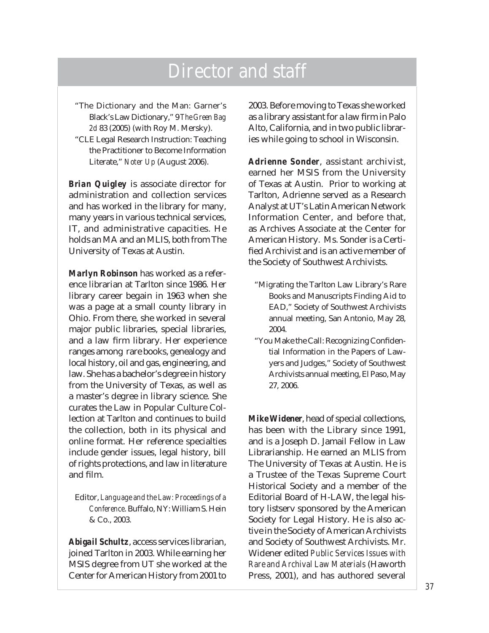"The Dictionary and the Man: Garner's Black's Law Dictionary," 9 *The Green Bag 2d* 83 (2005) (with Roy M. Mersky).

"CLE Legal Research Instruction: Teaching the Practitioner to Become Information Literate," *Noter Up* (August 2006).

*Brian Quigley* is associate director for administration and collection services and has worked in the library for many, many years in various technical services, IT, and administrative capacities. He holds an MA and an MLIS, both from The University of Texas at Austin.

*Marlyn Robinson* has worked as a reference librarian at Tarlton since 1986. Her library career begain in 1963 when she was a page at a small county library in Ohio. From there, she worked in several major public libraries, special libraries, and a law firm library. Her experience ranges among rare books, genealogy and local history, oil and gas, engineering, and law. She has a bachelor's degree in history from the University of Texas, as well as a master's degree in library science. She curates the Law in Popular Culture Collection at Tarlton and continues to build the collection, both in its physical and online format. Her reference specialties include gender issues, legal history, bill of rights protections, and law in literature and film.

Editor, *Language and the Law: Proceedings of a Conference*. Buffalo, NY: William S. Hein & Co., 2003.

*Abigail Schultz*, access services librarian, joined Tarlton in 2003. While earning her MSIS degree from UT she worked at the Center for American History from 2001 to

2003. Before moving to Texas she worked as a library assistant for a law firm in Palo Alto, California, and in two public libraries while going to school in Wisconsin.

*Adrienne Sonder*, assistant archivist, earned her MSIS from the University of Texas at Austin. Prior to working at Tarlton, Adrienne served as a Research Analyst at UT's Latin American Network Information Center, and before that, as Archives Associate at the Center for American History. Ms. Sonder is a Certified Archivist and is an active member of the Society of Southwest Archivists.

- "Migrating the Tarlton Law Library's Rare Books and Manuscripts Finding Aid to EAD," Society of Southwest Archivists annual meeting, San Antonio, May 28, 2004.
- "You Make the Call: Recognizing Confidential Information in the Papers of Lawyers and Judges," Society of Southwest Archivists annual meeting, El Paso, May 27, 2006.

*Mike Widener*, head of special collections, has been with the Library since 1991, and is a Joseph D. Jamail Fellow in Law Librarianship. He earned an MLIS from The University of Texas at Austin. He is a Trustee of the Texas Supreme Court Historical Society and a member of the Editorial Board of H-LAW, the legal history listserv sponsored by the American Society for Legal History. He is also active in the Society of American Archivists and Society of Southwest Archivists. Mr. Widener edited *Public Services Issues with Rare and Archival Law Materials* (Haworth Press, 2001), and has authored several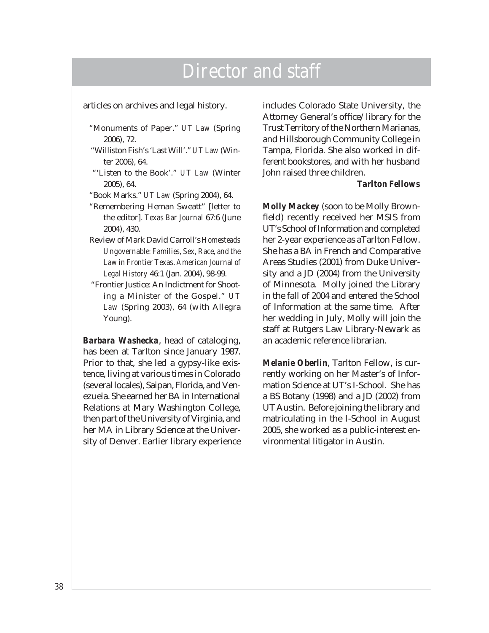articles on archives and legal history.

- "Monuments of Paper." *UT Law* (Spring 2006), 72.
- "Williston Fish's 'Last Will'." *UT Law* (Winter 2006), 64.
- "'Listen to the Book'." *UT Law* (Winter 2005), 64.
- "Book Marks." *UT Law* (Spring 2004), 64.
- "Remembering Heman Sweatt" [letter to the editor]. *Texas Bar Journal* 67:6 (June 2004), 430.
- Review of Mark David Carroll's *Homesteads Ungovernable: Families, Sex, Race, and the Law in Frontier Texas*. *American Journal of Legal History* 46:1 (Jan. 2004), 98-99.
- "Frontier Justice: An Indictment for Shooting a Minister of the Gospel." *UT Law* (Spring 2003), 64 (with Allegra Young).

*Barbara Washecka*, head of cataloging, has been at Tarlton since January 1987. Prior to that, she led a gypsy-like existence, living at various times in Colorado (several locales), Saipan, Florida, and Venezuela. She earned her BA in International Relations at Mary Washington College, then part of the University of Virginia, and her MA in Library Science at the University of Denver. Earlier library experience includes Colorado State University, the Attorney General's office/library for the Trust Territory of the Northern Marianas, and Hillsborough Community College in Tampa, Florida. She also worked in different bookstores, and with her husband John raised three children.

#### *Tarlton Fellows*

*Molly Mackey* (soon to be Molly Brownfield) recently received her MSIS from UT's School of Information and completed her 2-year experience as aTarlton Fellow. She has a BA in French and Comparative Areas Studies (2001) from Duke University and a JD (2004) from the University of Minnesota. Molly joined the Library in the fall of 2004 and entered the School of Information at the same time. After her wedding in July, Molly will join the staff at Rutgers Law Library-Newark as an academic reference librarian.

*Melanie Oberlin*, Tarlton Fellow, is currently working on her Master's of Information Science at UT's I-School. She has a BS Botany (1998) and a JD (2002) from UT Austin. Before joining the library and matriculating in the I-School in August 2005, she worked as a public-interest environmental litigator in Austin.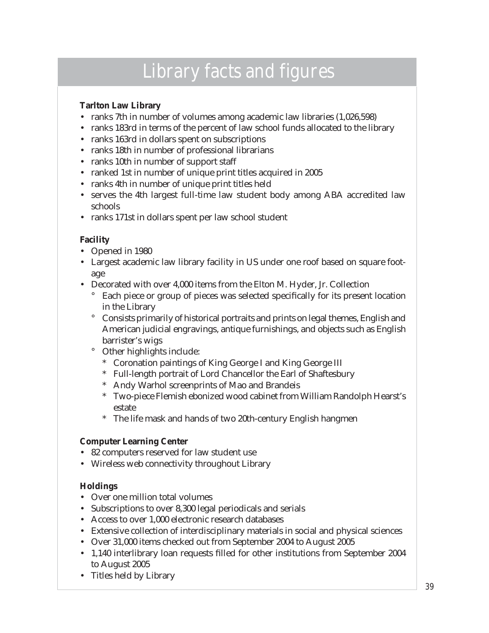# Library facts and figures

#### <span id="page-43-0"></span>**Tarlton Law Library**

- ranks 7th in number of volumes among academic law libraries (1,026,598)
- ranks 183rd in terms of the percent of law school funds allocated to the library
- ranks 163rd in dollars spent on subscriptions
- ranks 18th in number of professional librarians
- ranks 10th in number of support staff
- ranked 1st in number of unique print titles acquired in 2005
- ranks 4th in number of unique print titles held
- serves the 4th largest full-time law student body among ABA accredited law schools
- ranks 171st in dollars spent per law school student

#### **Facility**

- Opened in 1980
- Largest academic law library facility in US under one roof based on square footage
- Decorated with over 4,000 items from the Elton M. Hyder, Jr. Collection
	- Each piece or group of pieces was selected specifically for its present location in the Library °
	- Consists primarily of historical portraits and prints on legal themes, English and American judicial engravings, antique furnishings, and objects such as English barrister's wigs °
	- Other highlights include:  $\circ$ 
		- Coronation paintings of King George I and King George III \*
		- Full-length portrait of Lord Chancellor the Earl of Shaftesbury \*
		- Andy Warhol screenprints of Mao and Brandeis \*
		- Two-piece Flemish ebonized wood cabinet from William Randolph Hearst's \* estate
		- The life mask and hands of two 20th-century English hangmen \*

#### **Computer Learning Center**

- 82 computers reserved for law student use
- Wireless web connectivity throughout Library

#### **Holdings**

- Over one million total volumes
- Subscriptions to over 8,300 legal periodicals and serials
- Access to over 1,000 electronic research databases
- Extensive collection of interdisciplinary materials in social and physical sciences •
- Over 31,000 items checked out from September 2004 to August 2005
- 1,140 interlibrary loan requests filled for other institutions from September 2004 to August 2005
- Titles held by Library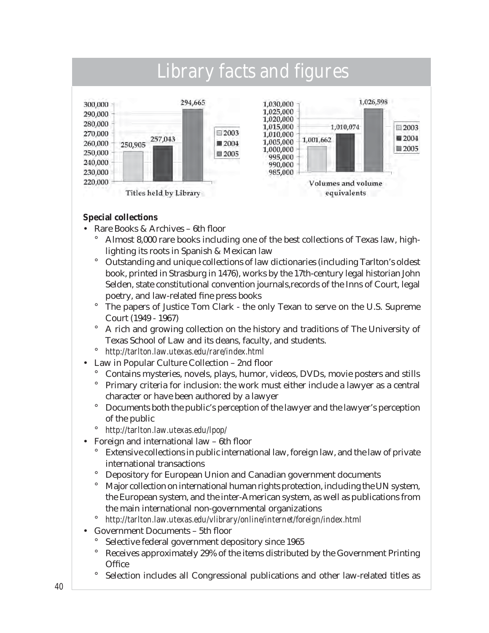

#### **Special collections**

- Rare Books & Archives 6th floor
	- Almost 8,000 rare books including one of the best collections of Texas law, highlighting its roots in Spanish & Mexican law °
	- Outstanding and unique collections of law dictionaries (including Tarlton's oldest book, printed in Strasburg in 1476), works by the 17th-century legal historian John Selden, state constitutional convention journals,records of the Inns of Court, legal poetry, and law-related fine press books °
	- The papers of Justice Tom Clark the only Texan to serve on the U.S. Supreme Court (1949 - 1967)  $\circ$
	- A rich and growing collection on the history and traditions of The University of Texas School of Law and its deans, faculty, and students. °
	- *http://tarlton.law.utexas.edu/rare/index.html* °
- Law in Popular Culture Collection 2nd floor •
	- Contains mysteries, novels, plays, humor, videos, DVDs, movie posters and stills °
	- Primary criteria for inclusion: the work must either include a lawyer as a central character or have been authored by a lawyer °
	- Documents both the public's perception of the lawyer and the lawyer's perception of the public  $\circ$
	- *http://tarlton.law.utexas.edu/lpop/* °
- Foreign and international law 6th floor
	- Extensive collections in public international law, foreign law, and the law of private international transactions °
	- Depository for European Union and Canadian government documents  $\circ$
	- Major collection on international human rights protection, including the UN system, the European system, and the inter-American system, as well as publications from the main international non-governmental organizations °
	- *http://tarlton.law.utexas.edu/vlibrary/online/internet/foreign/index.html* °
- Government Documents 5th floor •
	- Selective federal government depository since 1965 °
	- Receives approximately 29% of the items distributed by the Government Printing **Office** °
	- Selection includes all Congressional publications and other law-related titles as °